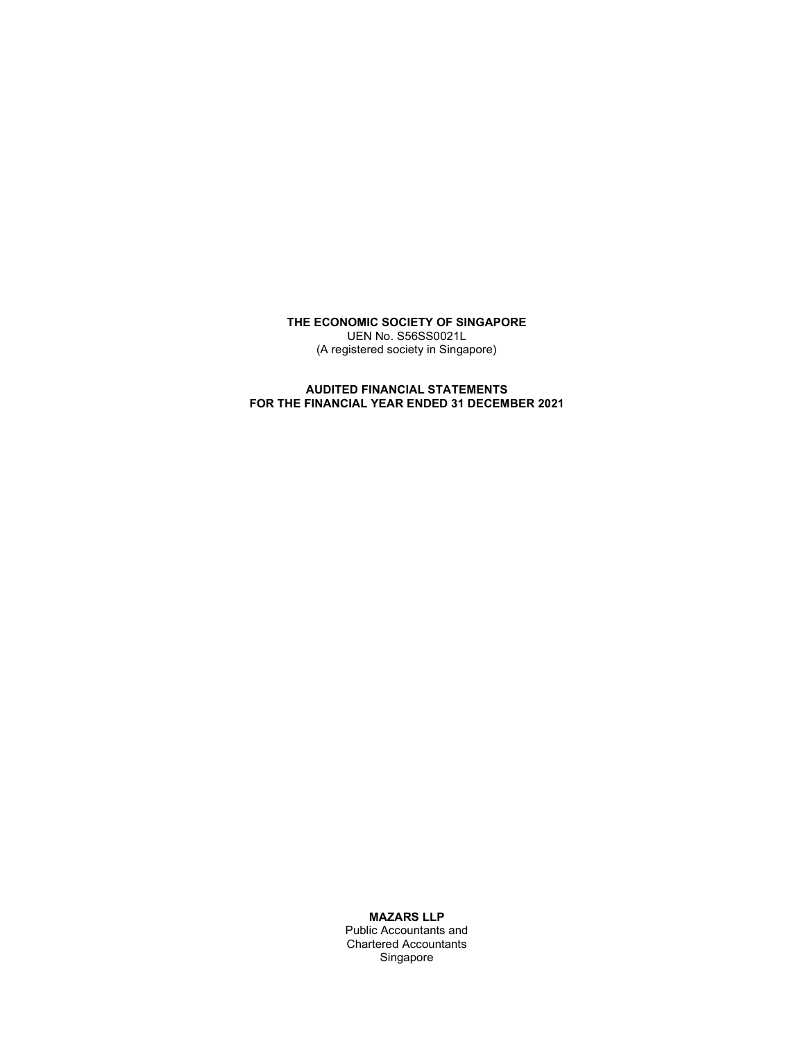THE ECONOMIC SOCIETY OF SINGAPORE UEN No. S56SS0021L (A registered society in Singapore)

### AUDITED FINANCIAL STATEMENTS FOR THE FINANCIAL YEAR ENDED 31 DECEMBER 2021

MAZARS LLP

Public Accountants and Chartered Accountants Singapore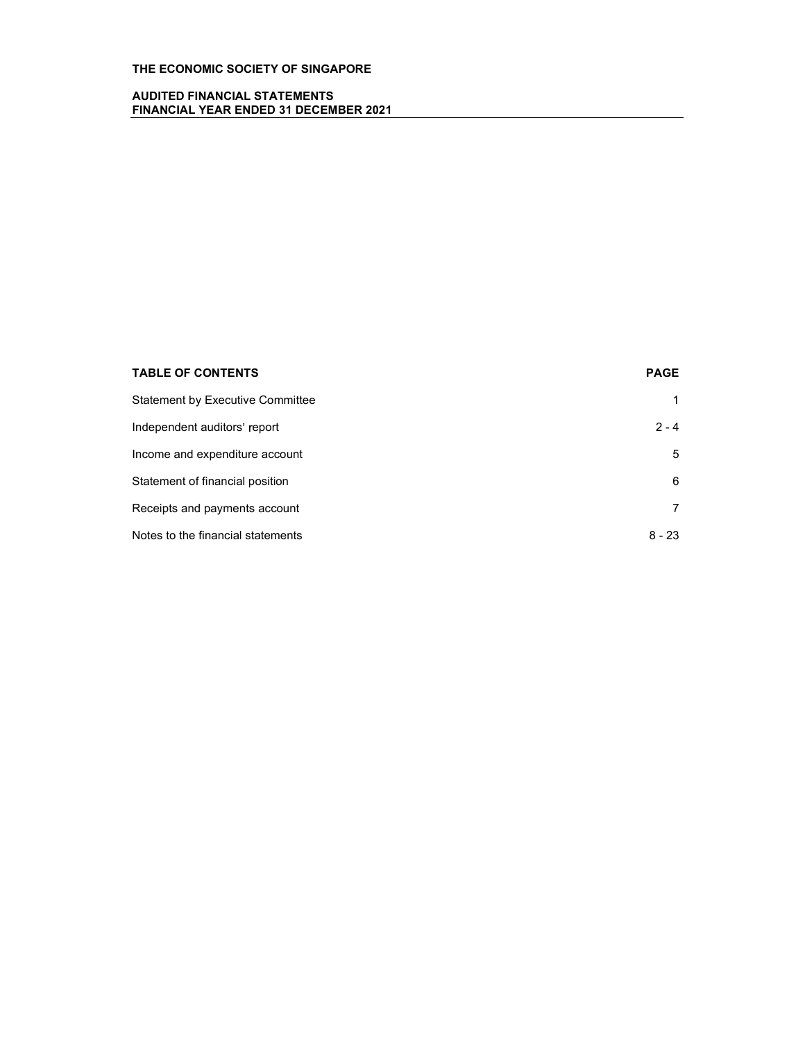### AUDITED FINANCIAL STATEMENTS FINANCIAL YEAR ENDED 31 DECEMBER 2021

| <b>TABLE OF CONTENTS</b>                | <b>PAGE</b> |
|-----------------------------------------|-------------|
| <b>Statement by Executive Committee</b> |             |
| Independent auditors' report            | $2 - 4$     |
| Income and expenditure account          | 5           |
| Statement of financial position         | 6           |
| Receipts and payments account           |             |
| Notes to the financial statements       | $8 - 23$    |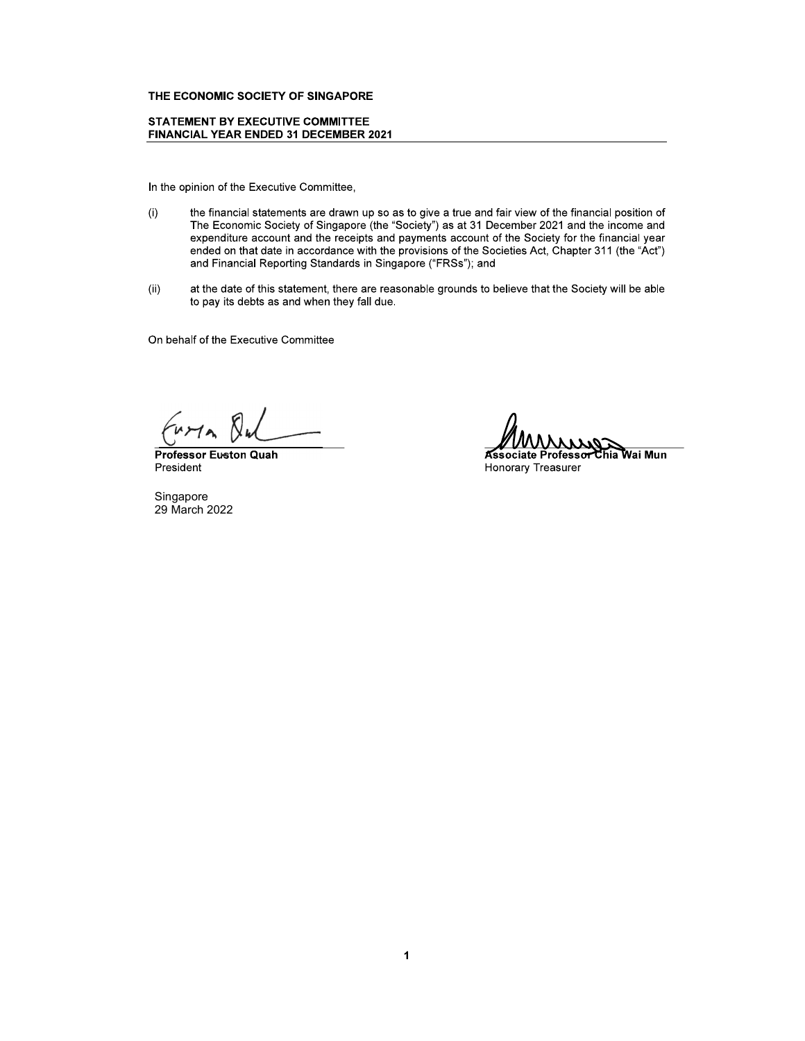### **STATEMENT BY EXECUTIVE COMMITTEE** FINANCIAL YEAR ENDED 31 DECEMBER 2021

In the opinion of the Executive Committee,

- the financial statements are drawn up so as to give a true and fair view of the financial position of  $(i)$ The Economic Society of Singapore (the "Society") as at 31 December 2021 and the income and expenditure account and the receipts and payments account of the Society for the financial year ended on that date in accordance with the provisions of the Societies Act, Chapter 311 (the "Act") and Financial Reporting Standards in Singapore ("FRSs"); and
- $(ii)$ at the date of this statement, there are reasonable grounds to believe that the Society will be able to pay its debts as and when they fall due.

On behalf of the Executive Committee

**Professor Euston Quah** President

Singapore 29 March 2022

rro rofessor Chia Wai Mun Associate F

**Honorary Treasurer**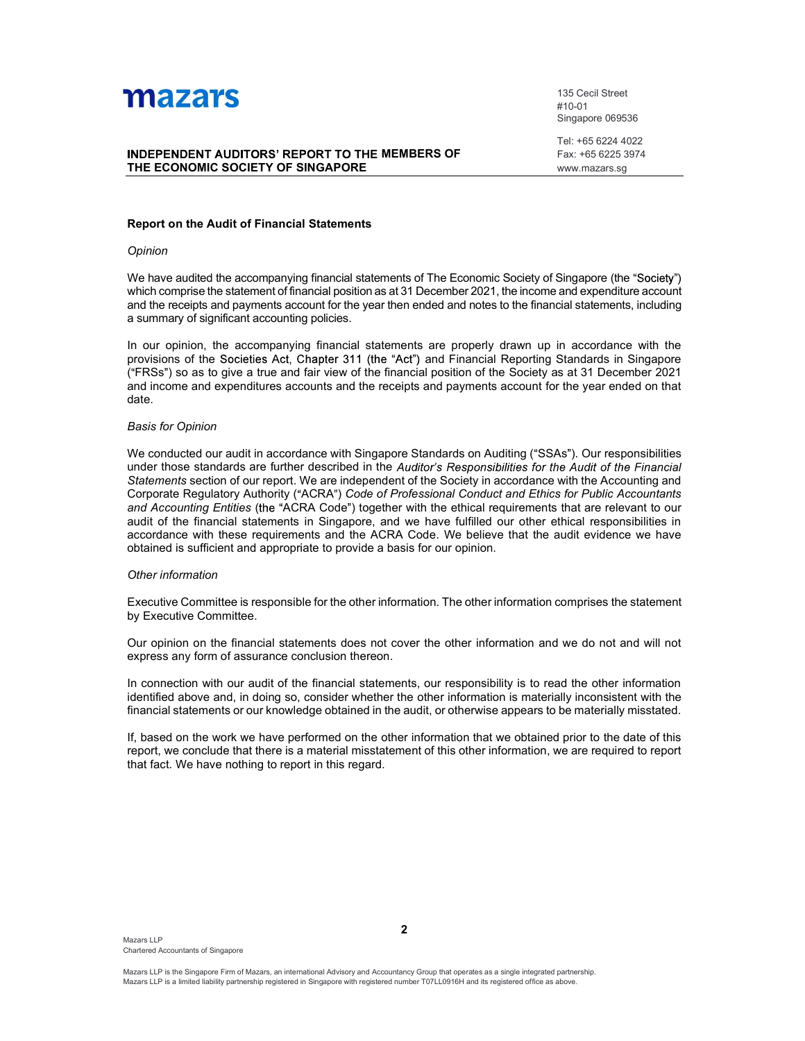

# **THE ECONOMIC SOCIETY OF SINGAPORE**<br>
THE ECONOMIC SOCIETY OF SINGAPORE<br>
THE ECONOMIC SOCIETY OF SINGAPORE<br>
The state of Singapore C69536<br>
Tel: +65 6224 4022<br>
Tel: +65 6224 4022<br>
Tel: +65 6225 3974<br>
WWW.mazars.sg<br>
Neport on

135 Cecil Street #10-01 Singapore 069536

 $\begin{tabular}{ll} \bf 135 \text{ Cecil Street} \\ \#10-01 \\ \bf 8ingapore 069536 \end{tabular}$   $\begin{tabular}{ll} \bf MEMBERS OF & \begin{tabular}{ll} \bf 7el: +65 6224 4022 \\ \bf 7ax: +65 6225 3974 \\ \bf 9xww.mazars.sg \end{tabular} \end{tabular}$ Tel: +65 6224 4022 Fax: +65 6225 3974 www.mazars.sg

### Report on the Audit of Financial Statements

### Opinion

We have audited the accompanying financial statements of The Economic Society of Singapore (the "Society") WHICH COMPRESS THE STATE THE STATE THE STATE THE STATE THE STATE CONDUCT CONDUCT THE STATE CONDUCTORS' REPORT TO THE MEMBERS OF The the statement of financial position as at 31 December 2021, the income and expenditure acc and the receipts and payments account for the year then ended and notes to the financial statements, including a summary of significant accounting policies.

In our opinion, the accompanying financial statements are properly drawn up in accordance with the provisions of the Societies Act, Chapter 311 (the "Act") and Financial Reporting Standards in Singapore ( FRSS )<br>
INDEPENDENT AUDITORS' REPORT TO THE MEMBERS OF<br>
FRIGATION SUGGIVENT OF SINGAPORE<br>
THE ECONOMIC SOCIETY OF SINGAPORE<br>
FRIGATION CONCIETY OF SINGAPORE<br>
Superior of the Audit of Financial Statements<br>
Superior of the 135 Cecil Street<br>
410.01 File of Singapora 086586<br> **ANDEPENDENT AUDITORS' REFORT TO THE MEMBERS OF**<br>
<sup>Ted:</sup> +66.6224 4022<br> **THE ECONOMIC SOCIETY OF SINGAPORE**<br> **Report on the Audit of Financial Statements**<br> **Report on the** date.

### Basis for Opinion

We conducted our audit in accordance with Singapore Standards on Auditing ("SSAs"). Our responsibilities under those standards are further described in the Auditor's Responsibilities for the Audit of the Financial INDEPENDENT AUDITORS' REPORT TO THE MEMBERS OF<br>
Fax: -65 6224 5924<br>
THE ECONOMIC SOCIETY OF SINGAPORE<br>
Report on the Audit of Financial Statements<br>
Report on the Audit of Financial Statements<br>
We have audited the accompan Corporate Regulatory Authority ("ACRA") Code of Professional Conduct and Ethics for Public Accountants and Accounting Entities (the "ACRA Code") together with the ethical requirements that are relevant to our **Report on the Audit of Financial Statements**<br>
Opinion<br>
We have audited the accompanying financial statements of The Economic Society of Singapore (the "Society")<br>
Whe have audited the scoremention functions as at 31 Decem accordance with these requirements and the ACRA Code. We believe that the audit evidence we have obtained is sufficient and appropriate to provide a basis for our opinion. We have audited the accompanying financial statements of The Economic Society of Singapore (the "Society")<br>which comprise the statement of financial position as at 31 December 2021, the income and expenditure account<br>and t

### Other information

by Executive Committee.

Our opinion on the financial statements does not cover the other information and we do not and will not express any form of assurance conclusion thereon.

In connection with our audit of the financial statements, our responsibility is to read the other information identified above and, in doing so, consider whether the other information is materially inconsistent with the financial statements or our knowledge obtained in the audit, or otherwise appears to be materially misstated.

If, based on the work we have performed on the other information that we obtained prior to the date of this report, we conclude that there is a material misstatement of this other information, we are required to report that fact. We have nothing to report in this regard.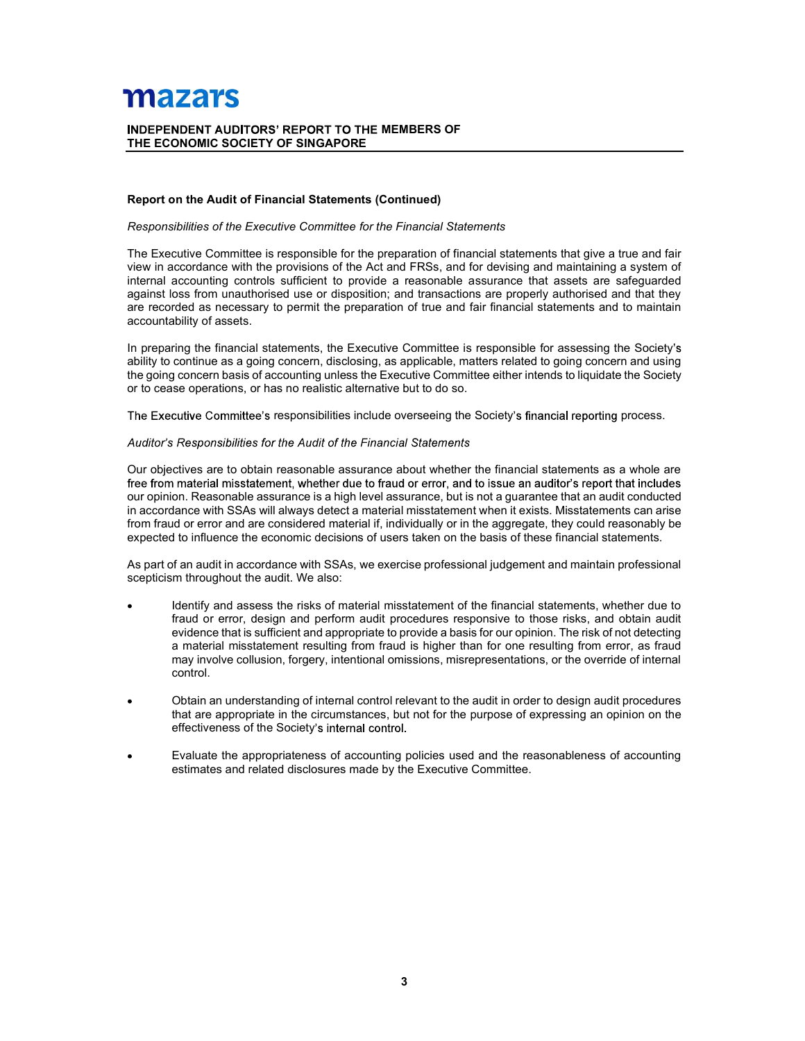# MEMBERS OF<br>
Continued)<br>
Continued) THE ECONOMIC SOCIETY OF SINGAPORE

### Report on the Audit of Financial Statements (Continued)

**Mazzary**<br> **CRIMBER AUDITORS' REPORT TO THE MEMBERS OF<br>
THE ECONOMIC SOCIETY OF SINGAPORE**<br> **Responsibilities of the Executive Committee for the Financial Statements**<br>
The Executive Committee is responsible for the prepara **THE ECONOMIC SOCIETY OF SINGAPORE**<br>THE ECONOMIC SOCIETY OF SINGAPORE<br>Report on the Audit of Financial Statements (Continued)<br>Responsibilities of the Executive Committee for the Financial Statements<br>The Executive Committee view in accordance with the provisions of the Act and FRSs, and for devising and maintaining a system of internal accounting controls sufficient to provide a reasonable assurance that assets are safeguarded against loss from unauthorised use or disposition; and transactions are properly authorised and that they are recorded as necessary to permit the preparation of true and fair financial statements and to maintain accountability of assets. **THE ECONOMIC SOCIETY OF SINGAPORE**<br>
THE ECONOMIC SOCIETY OF SINGAPORE<br>
Report on the Audit of Financial Statements (Continued)<br>
Responsibilities of the Executive Committee for the Financial Statements<br>
The Executive Commi

In preparing the financial statements, the Executive Committee is responsible for assessing the Society's ability to continue as a going concern, disclosing, as applicable, matters related to going concern and using<br>the going concern basis of accounting unless the Executive Committee either intends to liquidate the Society or to cease operations, or has no realistic alternative but to do so.

The Executive Committee's responsibilities include overseeing the Society's financial reporting process.

Our objectives are to obtain reasonable assurance about whether the financial statements as a whole are our opinion. Reasonable assurance is a high level assurance, but is not a guarantee that an audit conducted in accordance with SSAs will always detect a material misstatement when it exists. Misstatements can arise from fraud or error and are considered material if, individually or in the aggregate, they could reasonably be expected to influence the economic decisions of users taken on the basis of these financial statements.

As part of an audit in accordance with SSAs, we exercise professional judgement and maintain professional scepticism throughout the audit. We also:

- Identify and assess the risks of material misstatement of the financial statements, whether due to accounting controls sufficient to provide a reasonable assurance that assests are property and the chasses are property and the distinguity of assets.<br>The multiproperty be permit the preparation of true and fair financial evidence that is sufficient and appropriate to provide a basis for our opinion. The risk of not detecting a material misstatement resulting from fraud is higher than for one resulting from error, as fraud may involve collusion, forgery, intentional omissions, misrepresentations, or the override of internal control. pronorem basis of accounting unless the Executive Committele either intends to liquidate the Society<br>se operations, or has no realistic alternative but to do so.<br>
Entity committee's responsibilities for the Audit of the Fi
- Obtain an understanding of internal control relevant to the audit in order to design audit procedures effectiveness of the Society's internal control.
- Evaluate the appropriateness of accounting policies used and the reasonableness of accounting estimates and related disclosures made by the Executive Committee.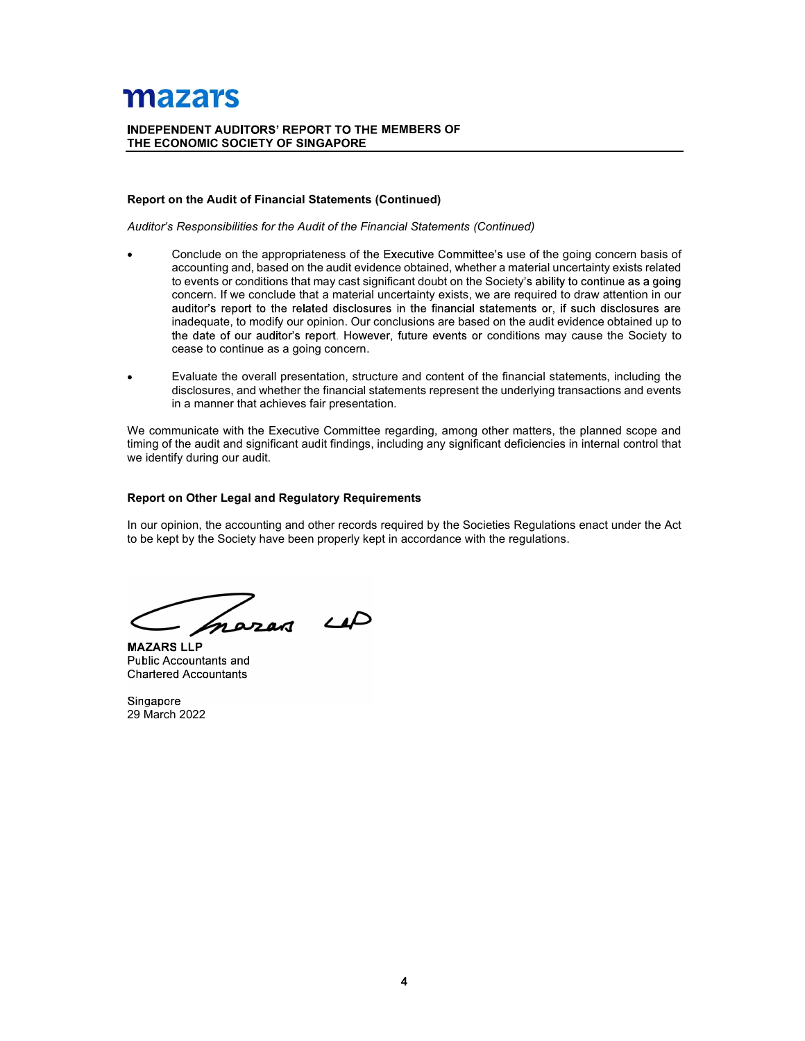# MEMBERS OF<br>
Continued)<br>
Continued) THE ECONOMIC SOCIETY OF SINGAPORE

### Report on the Audit of Financial Statements (Continued)

- **ZAT'S**<br>
IDENT AUDITORS' REPORT TO THE MEMBERS OF<br>
IN the Audit of Financial Statements (Continued)<br>
Responsibilities for the Audit of the Financial Statements (Continued)<br>
Conclude on the appropriateness of the Executive Conclude on the appropriateness of the Executive Committee's use of the going concern basis of accounting and, based on the audit evidence obtained, whether a material uncertainty exists related to events or conditions that may cast significant doubt on the Society's ability to continue as a going concern. If we conclude that a material uncertainty exists, we are required to draw attention in our inadequate, to modify our opinion. Our conclusions are based on the audit evidence obtained up to ontinued)<br>
e's use of the going concern basis of<br>
e's use of the going concern basis of<br>
Society's ability to continue as a going<br>
are required to draw attention in our<br>
atternents or, if such disclosures are<br>
of on the au cease to continue as a going concern. **Z217S**<br>
INDENT AUDITORS' REPORT TO THE MEMBERS OF<br>
ORIGINATION TO A CONSULT AND THE MEMBERS OF<br>
CONCIVE ON A RESPONSIBITIES for the Audit of the Financial Statements (Continued)<br>
CONCIVE on the appropriate associates of t **Max and the set of the matter of the MEMBERS OF**<br>
THE ECONOMIC SOCIETY OF SINGAPORE<br>
Report on the Audit of Financial Statements (Continued)<br>
Autobic's Responsibilities for the Audit of the Financial Statements (Continued **Report on the Audit of Financial Statements (Continued)**<br>
Auditor's Responsibilities for the Audit of the Financial Statements (Continued)<br>
• Conclude on the appropriateness of the Executive Committee's use of the gioring Report on the Audit of Financial Statements (Continued)<br>
Auditor's Responsibilities for the Audit of the Financial Statements (Continued)<br>
• Conclude on the appropriateness of the Executive Continuet are material uncertain
- disclosures, and whether the financial statements represent the underlying transactions and events in a manner that achieves fair presentation.

timing of the audit and significant audit findings, including any significant deficiencies in internal control that we identify during our audit.

### Report on Other Legal and Regulatory Requirements

MAZARS LLP Public Accountants and Chartered Accountants

Singapore 29 March 2022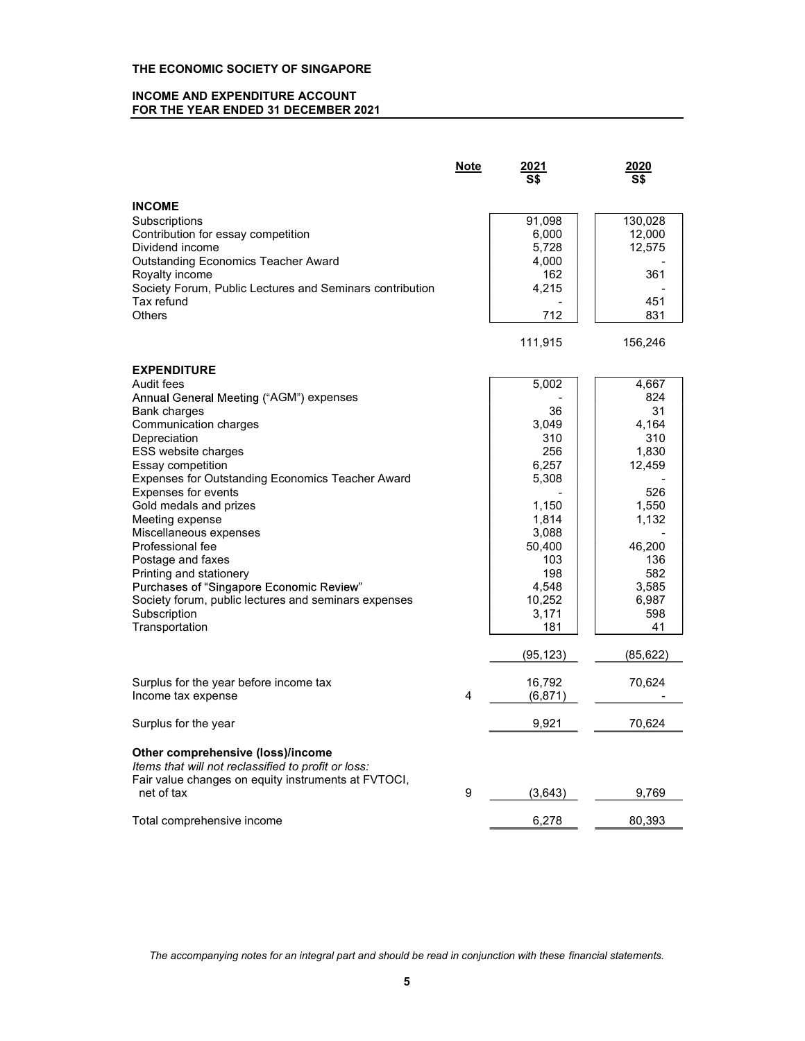### INCOME AND EXPENDITURE ACCOUNT FOR THE YEAR ENDED 31 DECEMBER 2021

|                                                                                                  | <b>Note</b>    | <u> 2021</u><br>S\$ | 2020<br>$\overline{\mathsf{S}}$ |  |
|--------------------------------------------------------------------------------------------------|----------------|---------------------|---------------------------------|--|
| <b>INCOME</b>                                                                                    |                |                     |                                 |  |
| Subscriptions                                                                                    |                | 91,098              | 130,028                         |  |
| Contribution for essay competition                                                               |                | 6,000               | 12,000                          |  |
| Dividend income                                                                                  |                | 5,728               | 12,575                          |  |
| <b>Outstanding Economics Teacher Award</b>                                                       |                | 4,000               |                                 |  |
| Royalty income                                                                                   |                | 162                 | 361                             |  |
| Society Forum, Public Lectures and Seminars contribution                                         |                | 4,215               |                                 |  |
| Tax refund                                                                                       |                |                     | 451                             |  |
| <b>Others</b>                                                                                    |                | 712                 | 831                             |  |
|                                                                                                  |                | 111,915             | 156,246                         |  |
| <b>EXPENDITURE</b>                                                                               |                |                     |                                 |  |
| Audit fees                                                                                       |                | 5,002               | 4,667                           |  |
| Annual General Meeting ("AGM") expenses                                                          |                |                     | 824                             |  |
| Bank charges                                                                                     |                | 36                  | 31                              |  |
| Communication charges                                                                            |                | 3,049               | 4,164                           |  |
| Depreciation                                                                                     |                | 310                 | 310                             |  |
| ESS website charges                                                                              |                | 256                 | 1,830                           |  |
| Essay competition                                                                                |                | 6,257               | 12,459                          |  |
| Expenses for Outstanding Economics Teacher Award                                                 |                | 5,308               |                                 |  |
| <b>Expenses for events</b>                                                                       |                |                     | 526                             |  |
| Gold medals and prizes                                                                           |                | 1,150               | 1,550                           |  |
| Meeting expense                                                                                  |                | 1,814               | 1,132                           |  |
| Miscellaneous expenses                                                                           |                | 3,088               |                                 |  |
| Professional fee                                                                                 |                | 50,400              | 46,200                          |  |
| Postage and faxes                                                                                |                | 103                 | 136                             |  |
| Printing and stationery                                                                          |                | 198                 | 582                             |  |
| Purchases of "Singapore Economic Review"<br>Society forum, public lectures and seminars expenses |                | 4,548<br>10,252     | 3,585<br>6,987                  |  |
| Subscription                                                                                     |                | 3,171               | 598                             |  |
| Transportation                                                                                   |                | 181                 | 41                              |  |
|                                                                                                  |                | (95, 123)           | (85, 622)                       |  |
|                                                                                                  |                |                     |                                 |  |
| Surplus for the year before income tax                                                           |                | 16,792              | 70,624                          |  |
| Income tax expense                                                                               | $\overline{4}$ | (6, 871)            |                                 |  |
| Surplus for the year                                                                             |                | 9,921               | 70,624                          |  |
| Other comprehensive (loss)/income                                                                |                |                     |                                 |  |
| Items that will not reclassified to profit or loss:                                              |                |                     |                                 |  |
| Fair value changes on equity instruments at FVTOCI,                                              |                |                     |                                 |  |
| net of tax                                                                                       | 9              | (3,643)             | 9,769                           |  |
| Total comprehensive income                                                                       |                | 6,278               | 80,393                          |  |

The accompanying notes for an integral part and should be read in conjunction with these financial statements.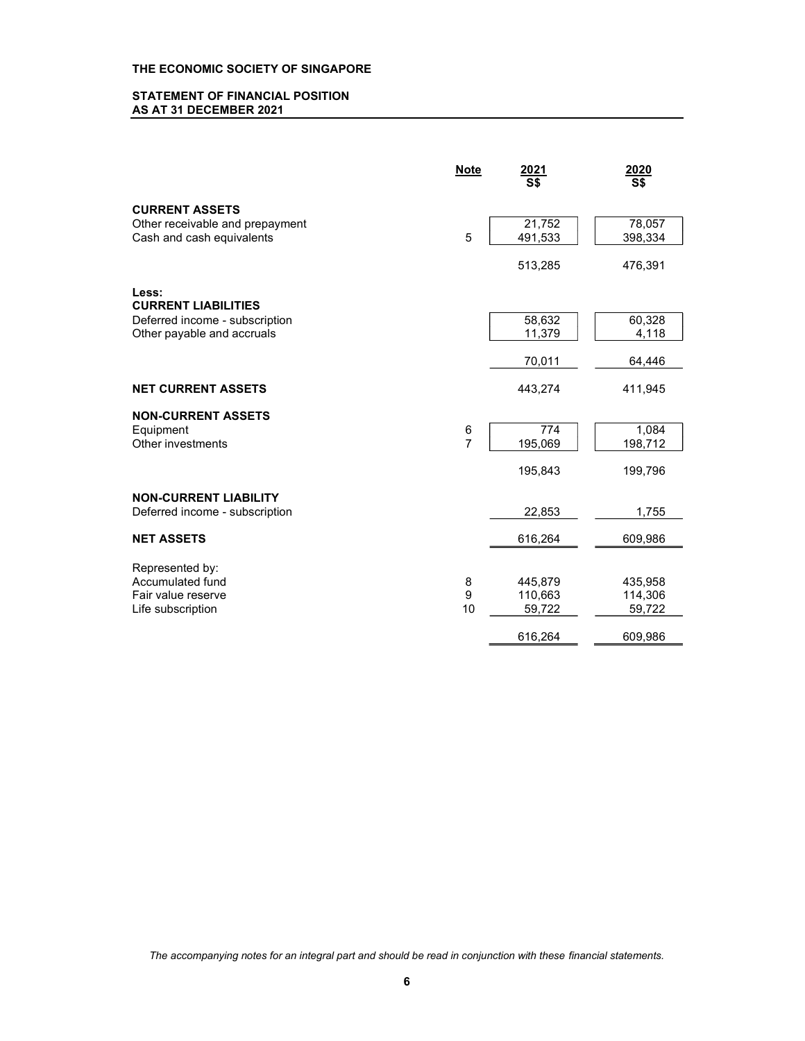### STATEMENT OF FINANCIAL POSITION AS AT 31 DECEMBER 2021

|                                                                                       | <b>Note</b>         | <u>2021</u><br>$\overline{\mathsf{S}}$ | 2020<br>S\$                  |  |
|---------------------------------------------------------------------------------------|---------------------|----------------------------------------|------------------------------|--|
| <b>CURRENT ASSETS</b><br>Other receivable and prepayment<br>Cash and cash equivalents | 5                   | 21,752<br>491,533                      | 78,057<br>398,334            |  |
|                                                                                       |                     | 513,285                                | 476,391                      |  |
| Less:<br><b>CURRENT LIABILITIES</b>                                                   |                     |                                        |                              |  |
| Deferred income - subscription<br>Other payable and accruals                          |                     | 58,632<br>11,379                       | 60,328<br>4,118              |  |
|                                                                                       |                     | 70,011                                 | 64,446                       |  |
| <b>NET CURRENT ASSETS</b>                                                             |                     | 443,274                                | 411,945                      |  |
| <b>NON-CURRENT ASSETS</b><br>Equipment<br>Other investments                           | 6<br>$\overline{7}$ | 774<br>195,069                         | 1,084<br>198,712             |  |
|                                                                                       |                     | 195,843                                | 199,796                      |  |
| <b>NON-CURRENT LIABILITY</b><br>Deferred income - subscription                        |                     | 22,853                                 | 1,755                        |  |
| <b>NET ASSETS</b>                                                                     |                     | 616,264                                | 609,986                      |  |
| Represented by:                                                                       |                     |                                        |                              |  |
| Accumulated fund<br>Fair value reserve<br>Life subscription                           | 8<br>9<br>10        | 445,879<br>110,663<br>59,722           | 435,958<br>114,306<br>59,722 |  |
|                                                                                       |                     | 616,264                                | 609,986                      |  |

The accompanying notes for an integral part and should be read in conjunction with these financial statements.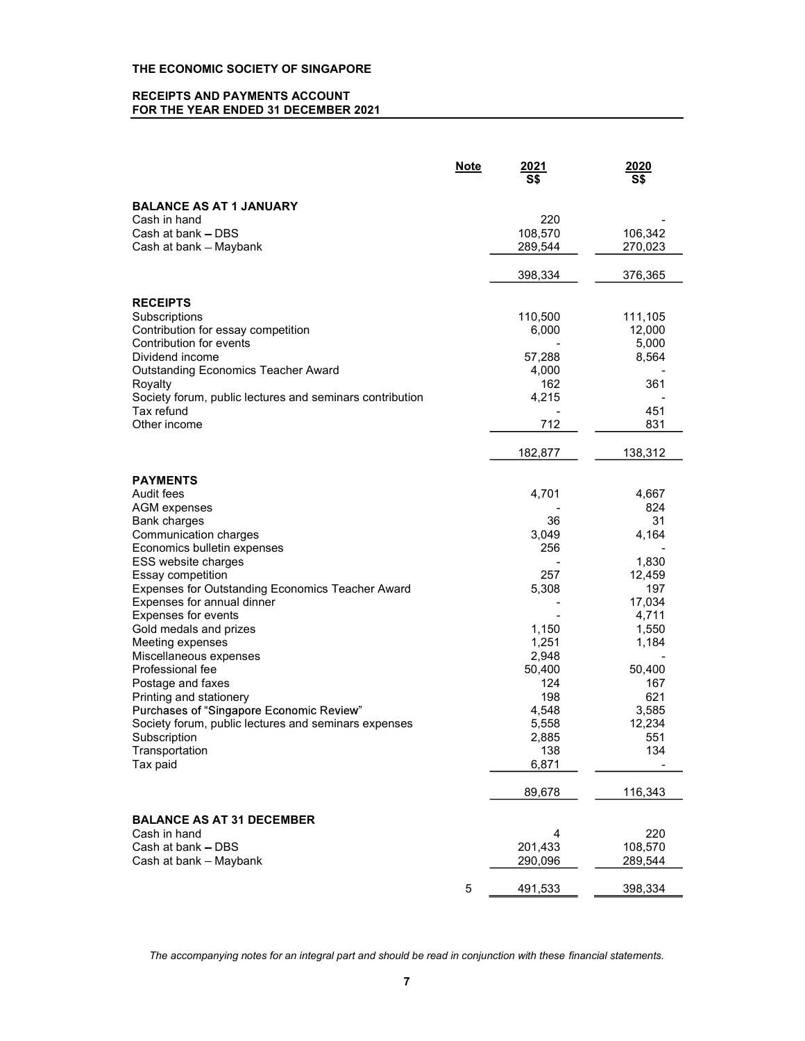## RECEIPTS AND PAYMENTS ACCOUNT FOR THE YEAR ENDED 31 DECEMBER 2021

|                                                          | <b>Note</b> | <u> 2021</u><br>S\$ | 2020<br>S\$ |
|----------------------------------------------------------|-------------|---------------------|-------------|
| <b>BALANCE AS AT 1 JANUARY</b>                           |             |                     |             |
| Cash in hand                                             |             | 220                 |             |
| Cash at bank - DBS                                       |             | 108,570             | 106,342     |
| Cash at bank - Maybank                                   |             | 289,544             | 270,023     |
|                                                          |             |                     |             |
|                                                          |             | 398,334             | 376,365     |
|                                                          |             |                     |             |
| <b>RECEIPTS</b>                                          |             |                     |             |
| Subscriptions                                            |             | 110,500             | 111,105     |
| Contribution for essay competition                       |             | 6,000               | 12,000      |
| Contribution for events                                  |             |                     | 5,000       |
| Dividend income                                          |             | 57,288              | 8,564       |
| <b>Outstanding Economics Teacher Award</b>               |             | 4,000               |             |
| Royalty                                                  |             | 162                 | 361         |
| Society forum, public lectures and seminars contribution |             | 4,215               |             |
| Tax refund                                               |             |                     | 451         |
| Other income                                             |             | 712                 | 831         |
|                                                          |             | 182,877             | 138,312     |
|                                                          |             |                     |             |
| <b>PAYMENTS</b><br>Audit fees                            |             | 4,701               | 4,667       |
|                                                          |             |                     | 824         |
| <b>AGM</b> expenses                                      |             | 36                  | 31          |
| Bank charges                                             |             |                     |             |
| Communication charges                                    |             | 3,049<br>256        | 4,164       |
| Economics bulletin expenses                              |             |                     | 1,830       |
| ESS website charges<br>Essay competition                 |             | 257                 | 12,459      |
| Expenses for Outstanding Economics Teacher Award         |             | 5,308               | 197         |
|                                                          |             |                     | 17,034      |
| Expenses for annual dinner<br>Expenses for events        |             |                     | 4,711       |
| Gold medals and prizes                                   |             | 1,150               | 1,550       |
|                                                          |             | 1,251               |             |
| Meeting expenses                                         |             |                     | 1,184       |
| Miscellaneous expenses<br>Professional fee               |             | 2,948               |             |
|                                                          |             | 50,400              | 50,400      |
| Postage and faxes                                        |             | 124<br>198          | 167<br>621  |
| Printing and stationery                                  |             |                     |             |
| Purchases of "Singapore Economic Review"                 |             | 4,548               | 3,585       |
| Society forum, public lectures and seminars expenses     |             | 5,558               | 12,234      |
| Subscription                                             |             | 2,885               | 551         |
| Transportation                                           |             | 138                 | 134         |
| Tax paid                                                 |             | 6,871               |             |
|                                                          |             | 89,678              | 116,343     |
| <b>BALANCE AS AT 31 DECEMBER</b>                         |             |                     |             |
| Cash in hand                                             |             | 4                   | 220         |
| Cash at bank - DBS                                       |             | 201,433             | 108,570     |
| Cash at bank - Maybank                                   |             | 290,096             | 289,544     |
|                                                          |             |                     |             |
|                                                          | $\,$ 5 $\,$ | 491,533             | 398,334     |

The accompanying notes for an integral part and should be read in conjunction with these financial statements.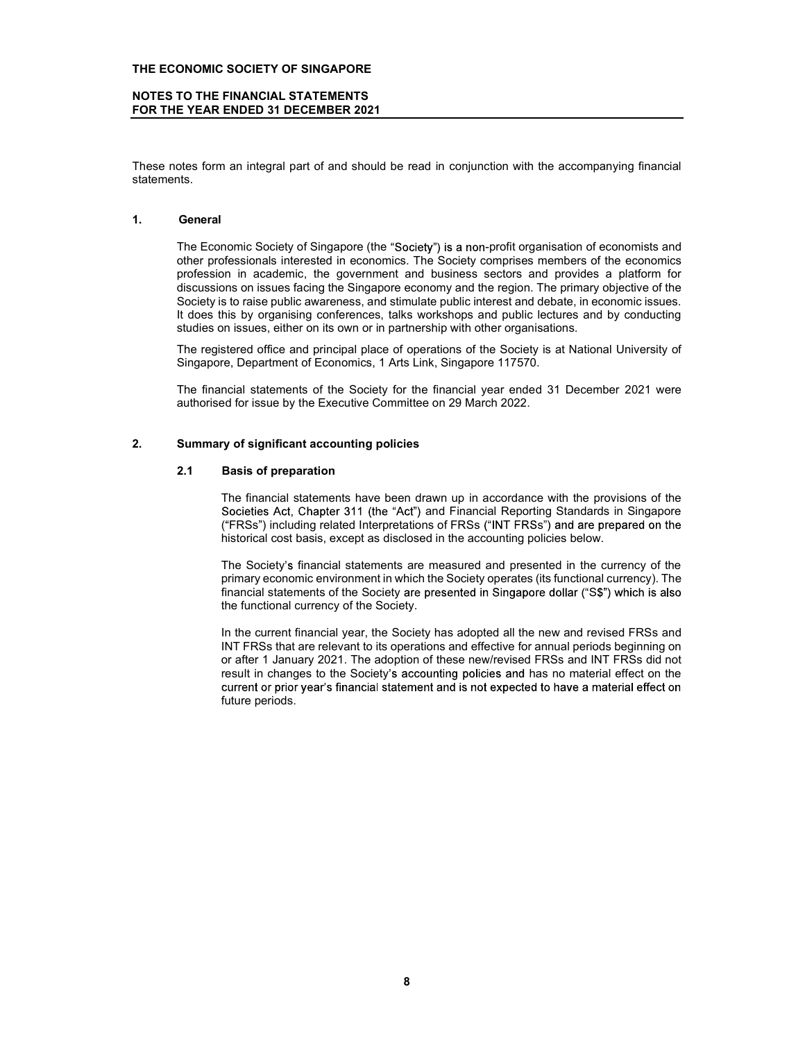### NOTES TO THE FINANCIAL STATEMENTS FOR THE YEAR ENDED 31 DECEMBER 2021

These notes form an integral part of and should be read in conjunction with the accompanying financial statements.

THE ECONOMIC SOCIETY OF SINGAPORE<br>
NOTES TO THE FINANCIAL STATEMENTS<br>
FOR THE YEAR ENDED 31 DECEMBER 2021<br>
These notes form an integral part of and should be read in conjunction with the accompar<br>
statements.<br>
1. General<br> **ONOMIC SOCIETY OF SINGAPORE**<br> **TO THE FINANCIAL STATEMENTS**<br> **ONEXEMPLE TO A DECEMBER 2021**<br>
<br> **Seconomic Society of Singapore (the "Society") is a non-profit organisation of economists and<br>
the Economic Society of Singap** other professionals interested in economics. The Society comprises members of the economics profession in academic, the government and business sectors and provides a platform for discussions on issues facing the Singapore economy and the region. The primary objective of the Society is to raise public awareness, and stimulate public interest and debate, in economic issues. It does this by organising conferences, talks workshops and public lectures and by conducting studies on issues, either on its own or in partnership with other organisations. FOR THE YEAR ENDED 31 DECEMBER 2021<br>
These notes form an integral part of and should be read in conjunction with the accompanying find<br>
statements.<br>
The Economic Society of Singapore (the "Society") is a non-profit organis bes form an integral part of and should be read in conjunction with the accompanying finits.<br>
15.<br>
16.1 BE Economic Society of Singapore (the "Society") is a non-profit organisation of economists<br>
17.1 Be Economic Society n an integral part of and should be read in conjunction with the accompanying financial<br>momic Society of Singapore (the "Society") is a non-profit organisation of economists and<br>pressionals interested in economists. The So momic Society of Singapore (the "Society") is a non-profit organisation of economists and<br>on in in academic, the government and business sectors and provides a platform for<br>on in in academic, the government and business se nomic Society of Singapore (the "Society") is a non-profit organisation of economists and<br>the shorolas interested in economics. The Society comprises members of the economics<br>on in a racternic, the government and basiness

The registered office and principal place of operations of the Society is at National University of Singapore, Department of Economics, 1 Arts Link, Singapore 117570.

The financial statements of the Society for the financial year ended 31 December 2021 were authorised for issue by the Executive Committee on 29 March 2022.

Societies Act, Chapter 311 (the "Act") and Financial Reporting Standards in Singapore historical cost basis, except as disclosed in the accounting policies below.

The Society's financial statements are measured and presented in the currency of the financial statements of the Society are presented in Singapore dollar ("S\$") which is also the functional currency of the Society.

In's by inseless a columption and pappler economic method in the regular. The pliniarly oughcure on the society of this variantly and interest and debate. In economic issues, is to rate paralising confinerances, takes work so urase points awareness, and summate parameter and between in the conducting<br>in is by organising conferences, take workshops and public lectures and by conducting<br>is there on its over or in partnership with cheft organis Ins by o<sub>r state</sub> the minimal particular and the minimal is not expected office and productions in issues, either on its own or in partnership with other organisations.<br>
Stered office and principal place of operations of t result in changes to the Society's accounting policies and has no material effect on the future periods.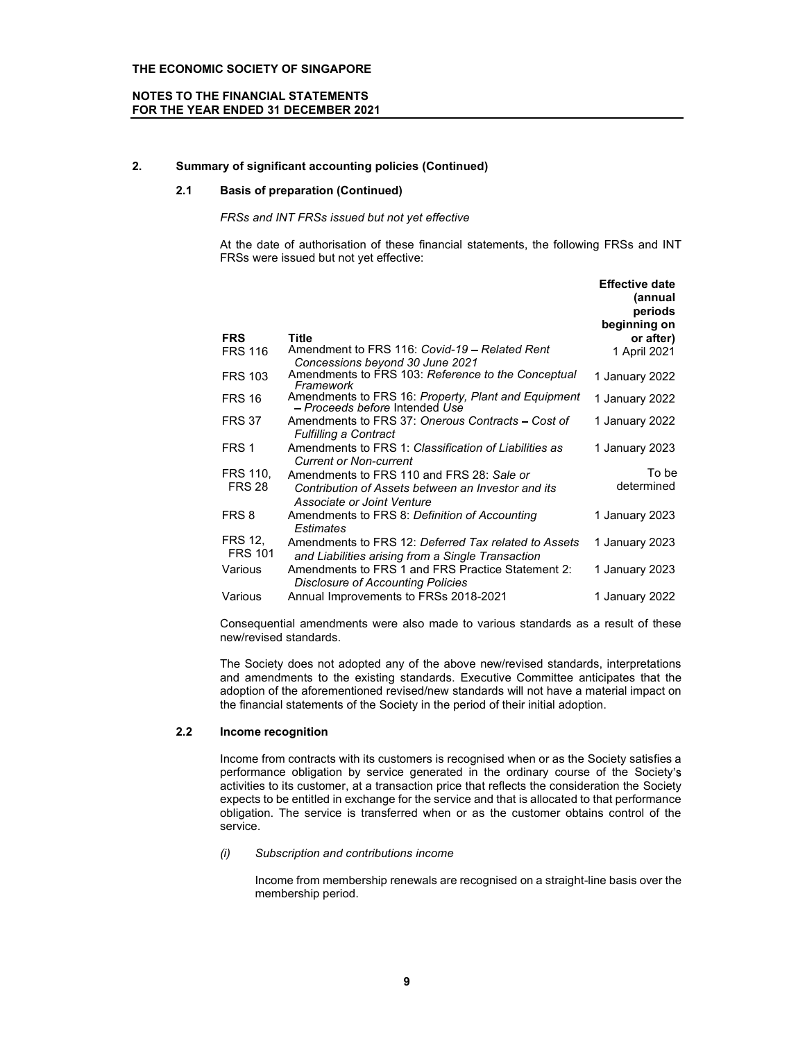### NOTES TO THE FINANCIAL STATEMENTS FOR THE YEAR ENDED 31 DECEMBER 2021

### 2. Summary of significant accounting policies (Continued)

### 2.1 Basis of preparation (Continued)

### FRSs and INT FRSs issued but not yet effective

At the date of authorisation of these financial statements, the following FRSs and INT FRSs were issued but not yet effective:

Effective date

|                           |                                                                                                                               | LIICUUVC UQLC       |  |
|---------------------------|-------------------------------------------------------------------------------------------------------------------------------|---------------------|--|
|                           |                                                                                                                               | (annual             |  |
|                           |                                                                                                                               | periods             |  |
|                           |                                                                                                                               | beginning on        |  |
| <b>FRS</b>                | Title                                                                                                                         | or after)           |  |
| <b>FRS 116</b>            | Amendment to FRS 116: Covid-19 – Related Rent<br>Concessions beyond 30 June 2021                                              | 1 April 2021        |  |
| <b>FRS 103</b>            | Amendments to FRS 103: Reference to the Conceptual<br>Framework                                                               | 1 January 2022      |  |
| <b>FRS 16</b>             | Amendments to FRS 16: Property, Plant and Equipment<br>- Proceeds before Intended Use                                         | 1 January 2022      |  |
| <b>FRS 37</b>             | Amendments to FRS 37: Onerous Contracts – Cost of<br><b>Fulfilling a Contract</b>                                             | 1 January 2022      |  |
| FRS 1                     | Amendments to FRS 1: Classification of Liabilities as<br><b>Current or Non-current</b>                                        | 1 January 2023      |  |
| FRS 110.<br><b>FRS 28</b> | Amendments to FRS 110 and FRS 28: Sale or<br>Contribution of Assets between an Investor and its<br>Associate or Joint Venture | To be<br>determined |  |
| FRS 8                     | Amendments to FRS 8: Definition of Accounting<br><b>Estimates</b>                                                             | 1 January 2023      |  |
| FRS 12,<br><b>FRS 101</b> | Amendments to FRS 12: Deferred Tax related to Assets<br>and Liabilities arising from a Single Transaction                     | 1 January 2023      |  |
| Various                   | Amendments to FRS 1 and FRS Practice Statement 2:<br>Disclosure of Accounting Policies                                        | 1 January 2023      |  |
| Various                   | Annual Improvements to FRSs 2018-2021                                                                                         | 1 January 2022      |  |

Consequential amendments were also made to various standards as a result of these new/revised standards.

The Society does not adopted any of the above new/revised standards, interpretations and amendments to the existing standards. Executive Committee anticipates that the adoption of the aforementioned revised/new standards will not have a material impact on the financial statements of the Society in the period of their initial adoption.

### 2.2 Income recognition

Income from contracts with its customers is recognised when or as the Society satisfies a performance obligation by service generated in the ordinary course of the Society's activities to its customer, at a transaction price that reflects the consideration the Society expects to be entitled in exchange for the service and that is allocated to that performance obligation. The service is transferred when or as the customer obtains control of the service.

### (i) Subscription and contributions income

Income from membership renewals are recognised on a straight-line basis over the membership period.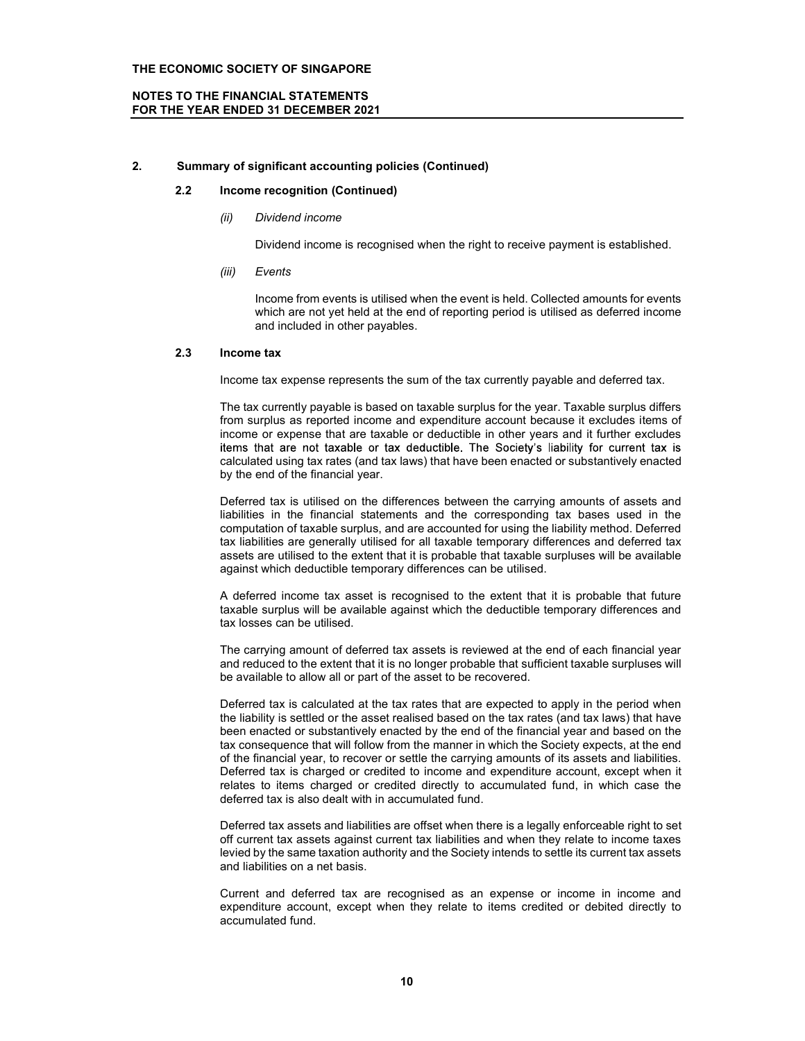### NOTES TO THE FINANCIAL STATEMENTS FOR THE YEAR ENDED 31 DECEMBER 2021

### 2. Summary of significant accounting policies (Continued)

### 2.2 Income recognition (Continued)

(ii) Dividend income

Dividend income is recognised when the right to receive payment is established.

(iii) Events

Income from events is utilised when the event is held. Collected amounts for events which are not yet held at the end of reporting period is utilised as deferred income and included in other payables.

### 2.3 Income tax

Income tax expense represents the sum of the tax currently payable and deferred tax.

The tax currently payable is based on taxable surplus for the year. Taxable surplus differs from surplus as reported income and expenditure account because it excludes items of income or expense that are taxable or deductible in other years and it further excludes items that are not taxable or tax deductible. The Society's liability for current tax is calculated using tax rates (and tax laws) that have been enacted or substantively enacted by the end of the financial year.

Deferred tax is utilised on the differences between the carrying amounts of assets and liabilities in the financial statements and the corresponding tax bases used in the computation of taxable surplus, and are accounted for using the liability method. Deferred tax liabilities are generally utilised for all taxable temporary differences and deferred tax assets are utilised to the extent that it is probable that taxable surpluses will be available against which deductible temporary differences can be utilised.

A deferred income tax asset is recognised to the extent that it is probable that future taxable surplus will be available against which the deductible temporary differences and tax losses can be utilised.

The carrying amount of deferred tax assets is reviewed at the end of each financial year and reduced to the extent that it is no longer probable that sufficient taxable surpluses will be available to allow all or part of the asset to be recovered.

Deferred tax is calculated at the tax rates that are expected to apply in the period when the liability is settled or the asset realised based on the tax rates (and tax laws) that have been enacted or substantively enacted by the end of the financial year and based on the tax consequence that will follow from the manner in which the Society expects, at the end of the financial year, to recover or settle the carrying amounts of its assets and liabilities. Deferred tax is charged or credited to income and expenditure account, except when it relates to items charged or credited directly to accumulated fund, in which case the deferred tax is also dealt with in accumulated fund.

Deferred tax assets and liabilities are offset when there is a legally enforceable right to set off current tax assets against current tax liabilities and when they relate to income taxes levied by the same taxation authority and the Society intends to settle its current tax assets and liabilities on a net basis.

Current and deferred tax are recognised as an expense or income in income and expenditure account, except when they relate to items credited or debited directly to accumulated fund.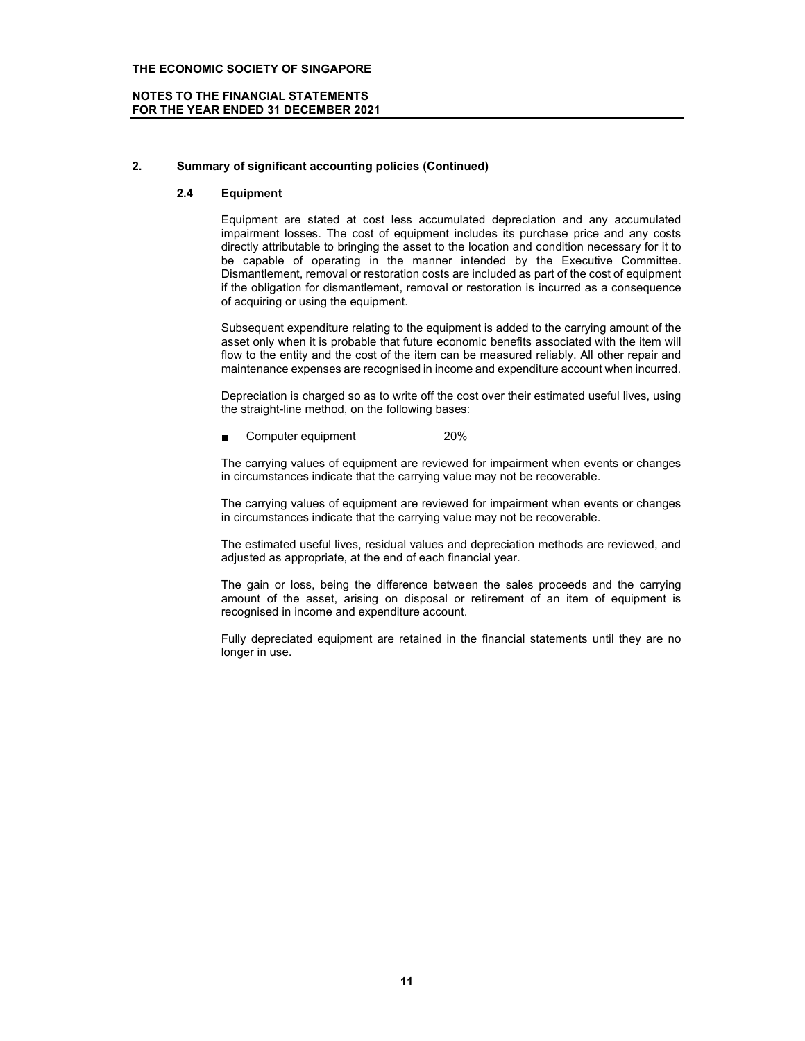### NOTES TO THE FINANCIAL STATEMENTS FOR THE YEAR ENDED 31 DECEMBER 2021

### 2. Summary of significant accounting policies (Continued)

### 2.4 Equipment

Equipment are stated at cost less accumulated depreciation and any accumulated impairment losses. The cost of equipment includes its purchase price and any costs directly attributable to bringing the asset to the location and condition necessary for it to be capable of operating in the manner intended by the Executive Committee. Dismantlement, removal or restoration costs are included as part of the cost of equipment if the obligation for dismantlement, removal or restoration is incurred as a consequence of acquiring or using the equipment.

Subsequent expenditure relating to the equipment is added to the carrying amount of the asset only when it is probable that future economic benefits associated with the item will flow to the entity and the cost of the item can be measured reliably. All other repair and maintenance expenses are recognised in income and expenditure account when incurred.

Depreciation is charged so as to write off the cost over their estimated useful lives, using the straight-line method, on the following bases:

Computer equipment 20%

The carrying values of equipment are reviewed for impairment when events or changes in circumstances indicate that the carrying value may not be recoverable.

The carrying values of equipment are reviewed for impairment when events or changes in circumstances indicate that the carrying value may not be recoverable.

The estimated useful lives, residual values and depreciation methods are reviewed, and adjusted as appropriate, at the end of each financial year.

The gain or loss, being the difference between the sales proceeds and the carrying amount of the asset, arising on disposal or retirement of an item of equipment is recognised in income and expenditure account.

Fully depreciated equipment are retained in the financial statements until they are no longer in use.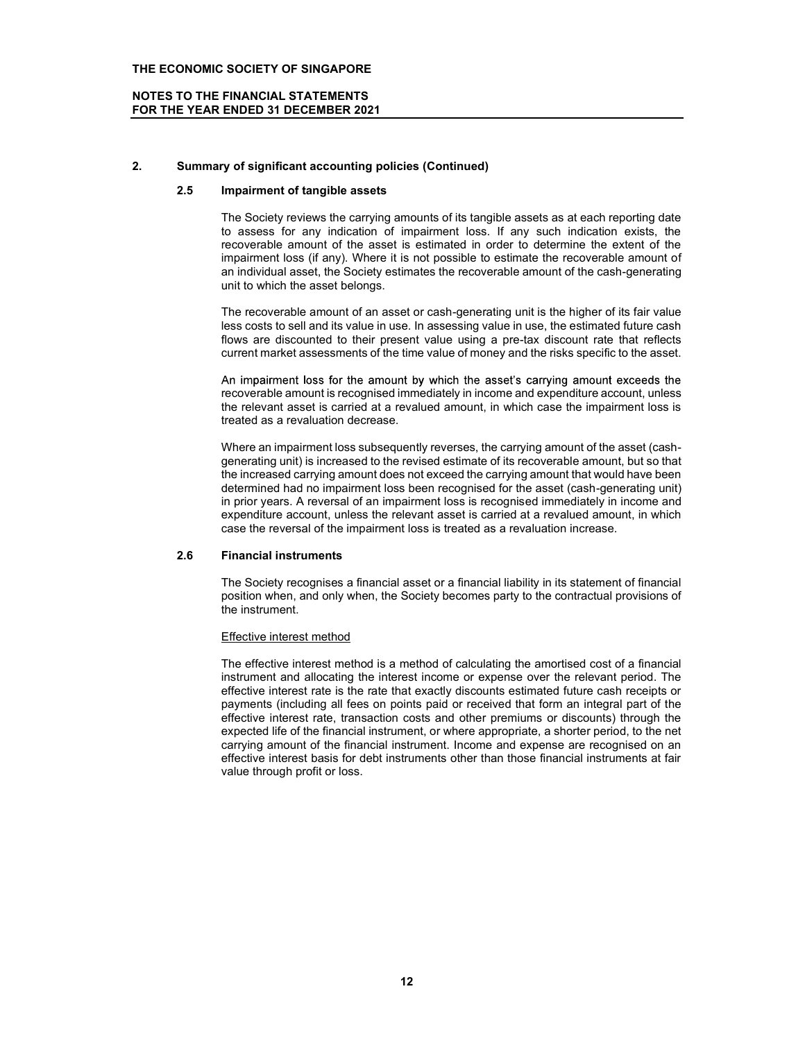### NOTES TO THE FINANCIAL STATEMENTS FOR THE YEAR ENDED 31 DECEMBER 2021

### 2. Summary of significant accounting policies (Continued)

### 2.5 Impairment of tangible assets

The Society reviews the carrying amounts of its tangible assets as at each reporting date to assess for any indication of impairment loss. If any such indication exists, the recoverable amount of the asset is estimated in order to determine the extent of the impairment loss (if any). Where it is not possible to estimate the recoverable amount of an individual asset, the Society estimates the recoverable amount of the cash-generating unit to which the asset belongs.

The recoverable amount of an asset or cash-generating unit is the higher of its fair value less costs to sell and its value in use. In assessing value in use, the estimated future cash flows are discounted to their present value using a pre-tax discount rate that reflects current market assessments of the time value of money and the risks specific to the asset.

An impairment loss for the amount by which the asset's carrying amount exceeds the recoverable amount is recognised immediately in income and expenditure account, unless the relevant asset is carried at a revalued amount, in which case the impairment loss is treated as a revaluation decrease.

Where an impairment loss subsequently reverses, the carrying amount of the asset (cashgenerating unit) is increased to the revised estimate of its recoverable amount, but so that the increased carrying amount does not exceed the carrying amount that would have been determined had no impairment loss been recognised for the asset (cash-generating unit) in prior years. A reversal of an impairment loss is recognised immediately in income and expenditure account, unless the relevant asset is carried at a revalued amount, in which case the reversal of the impairment loss is treated as a revaluation increase.

### 2.6 Financial instruments

The Society recognises a financial asset or a financial liability in its statement of financial position when, and only when, the Society becomes party to the contractual provisions of the instrument.

### Effective interest method

The effective interest method is a method of calculating the amortised cost of a financial instrument and allocating the interest income or expense over the relevant period. The effective interest rate is the rate that exactly discounts estimated future cash receipts or payments (including all fees on points paid or received that form an integral part of the effective interest rate, transaction costs and other premiums or discounts) through the expected life of the financial instrument, or where appropriate, a shorter period, to the net carrying amount of the financial instrument. Income and expense are recognised on an effective interest basis for debt instruments other than those financial instruments at fair value through profit or loss.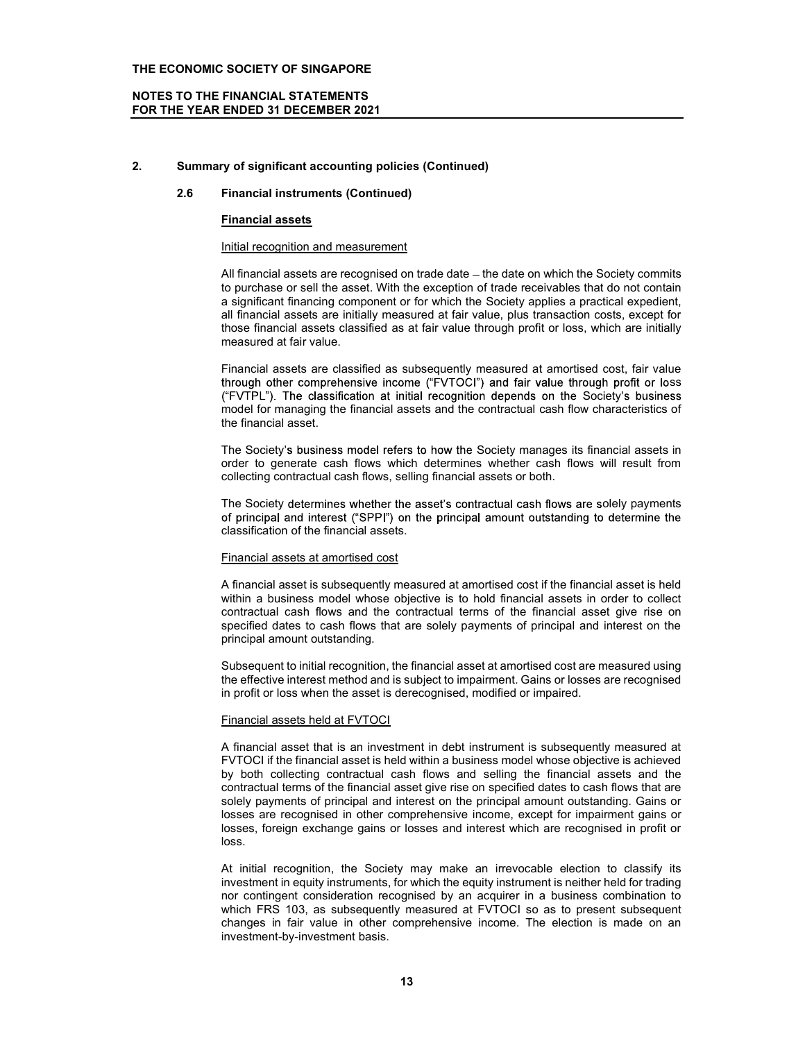### NOTES TO THE FINANCIAL STATEMENTS FOR THE YEAR ENDED 31 DECEMBER 2021

### 2. Summary of significant accounting policies (Continued)

### 2.6 Financial instruments (Continued)

### Financial assets

### Initial recognition and measurement

All financial assets are recognised on trade date - the date on which the Society commits to purchase or sell the asset. With the exception of trade receivables that do not contain a significant financing component or for which the Society applies a practical expedient, all financial assets are initially measured at fair value, plus transaction costs, except for those financial assets classified as at fair value through profit or loss, which are initially measured at fair value.

Financial assets are classified as subsequently measured at amortised cost, fair value<br>through other comprehensive income ("FVTOCI") and fair value through profit or loss ss ("FVTPL"). The classification at initial recognition depends on the Society's business model for managing the financial assets and the contractual cash flow characteristics of the financial asset.

The Society's business model refers to how the Society manages its financial assets in order to generate cash flows which determines whether cash flows will result from collecting contractual cash flows, selling financial assets or both.

The Society determines whether the asset's contractual cash flows are solely payments of principal and interest ("SPPI") on the principal amount outstanding to determine the classification of the financial assets.

### Financial assets at amortised cost

A financial asset is subsequently measured at amortised cost if the financial asset is held within a business model whose objective is to hold financial assets in order to collect contractual cash flows and the contractual terms of the financial asset give rise on specified dates to cash flows that are solely payments of principal and interest on the principal amount outstanding.

Subsequent to initial recognition, the financial asset at amortised cost are measured using the effective interest method and is subject to impairment. Gains or losses are recognised in profit or loss when the asset is derecognised, modified or impaired.

### Financial assets held at FVTOCI

A financial asset that is an investment in debt instrument is subsequently measured at FVTOCI if the financial asset is held within a business model whose objective is achieved by both collecting contractual cash flows and selling the financial assets and the contractual terms of the financial asset give rise on specified dates to cash flows that are solely payments of principal and interest on the principal amount outstanding. Gains or losses are recognised in other comprehensive income, except for impairment gains or losses, foreign exchange gains or losses and interest which are recognised in profit or loss.

At initial recognition, the Society may make an irrevocable election to classify its investment in equity instruments, for which the equity instrument is neither held for trading nor contingent consideration recognised by an acquirer in a business combination to which FRS 103, as subsequently measured at FVTOCI so as to present subsequent changes in fair value in other comprehensive income. The election is made on an investment-by-investment basis.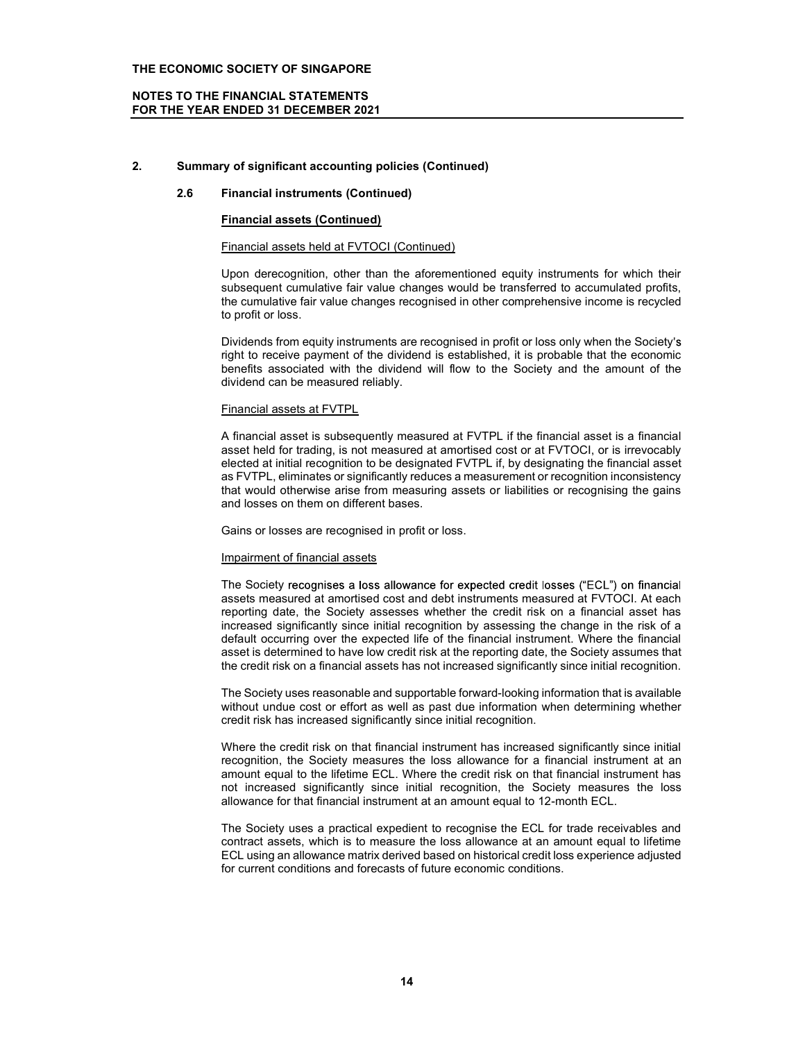### NOTES TO THE FINANCIAL STATEMENTS FOR THE YEAR ENDED 31 DECEMBER 2021

### 2. Summary of significant accounting policies (Continued)

### 2.6 Financial instruments (Continued)

### Financial assets (Continued)

### Financial assets held at FVTOCI (Continued)

Upon derecognition, other than the aforementioned equity instruments for which their subsequent cumulative fair value changes would be transferred to accumulated profits, the cumulative fair value changes recognised in other comprehensive income is recycled to profit or loss.

Dividends from equity instruments are recognised in profit or loss only when the Society's right to receive payment of the dividend is established, it is probable that the economic benefits associated with the dividend will flow to the Society and the amount of the dividend can be measured reliably.

### Financial assets at FVTPL

A financial asset is subsequently measured at FVTPL if the financial asset is a financial asset held for trading, is not measured at amortised cost or at FVTOCI, or is irrevocably elected at initial recognition to be designated FVTPL if, by designating the financial asset as FVTPL, eliminates or significantly reduces a measurement or recognition inconsistency that would otherwise arise from measuring assets or liabilities or recognising the gains and losses on them on different bases.

Gains or losses are recognised in profit or loss.

### Impairment of financial assets

The Society recognises a loss allowance for expected credit losses ("ECL") on financial assets measured at amortised cost and debt instruments measured at FVTOCI. At each reporting date, the Society assesses whether the credit risk on a financial asset has increased significantly since initial recognition by assessing the change in the risk of a default occurring over the expected life of the financial instrument. Where the financial asset is determined to have low credit risk at the reporting date, the Society assumes that the credit risk on a financial assets has not increased significantly since initial recognition.

The Society uses reasonable and supportable forward-looking information that is available without undue cost or effort as well as past due information when determining whether credit risk has increased significantly since initial recognition.

Where the credit risk on that financial instrument has increased significantly since initial recognition, the Society measures the loss allowance for a financial instrument at an amount equal to the lifetime ECL. Where the credit risk on that financial instrument has not increased significantly since initial recognition, the Society measures the loss allowance for that financial instrument at an amount equal to 12-month ECL.

The Society uses a practical expedient to recognise the ECL for trade receivables and contract assets, which is to measure the loss allowance at an amount equal to lifetime ECL using an allowance matrix derived based on historical credit loss experience adjusted for current conditions and forecasts of future economic conditions.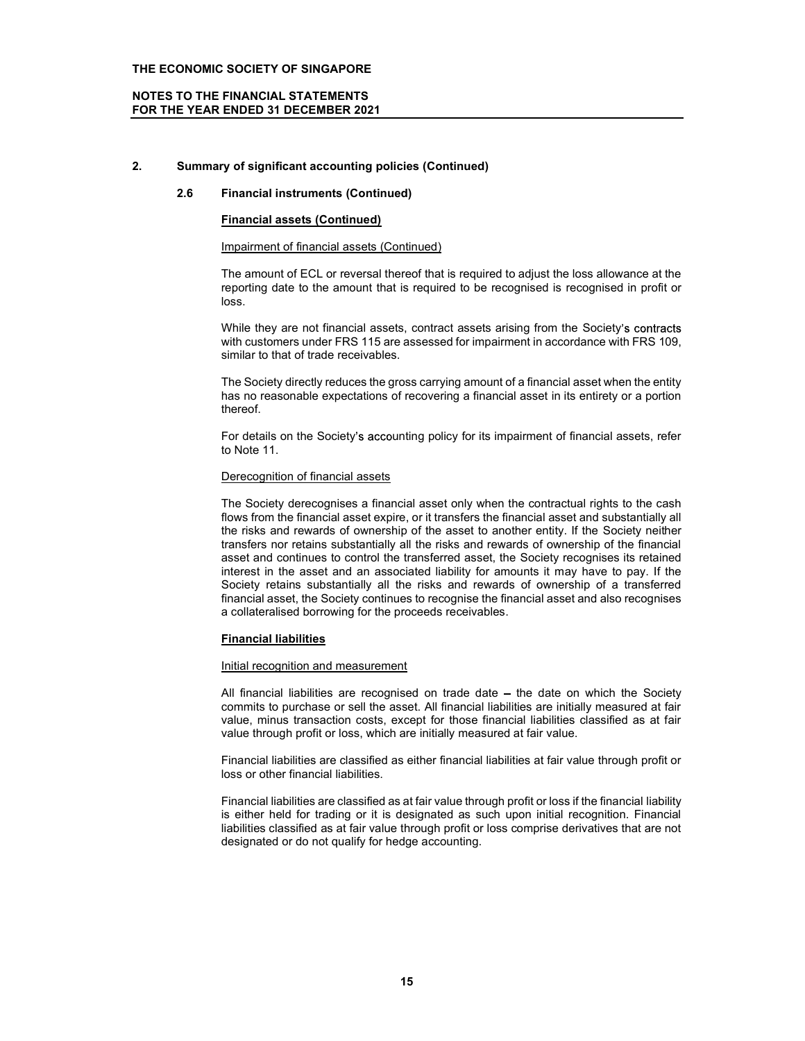### NOTES TO THE FINANCIAL STATEMENTS FOR THE YEAR ENDED 31 DECEMBER 2021

### 2. Summary of significant accounting policies (Continued)

### 2.6 Financial instruments (Continued)

### Financial assets (Continued)

### Impairment of financial assets (Continued)

The amount of ECL or reversal thereof that is required to adjust the loss allowance at the reporting date to the amount that is required to be recognised is recognised in profit or loss.

While they are not financial assets, contract assets arising from the Society's contracts with customers under FRS 115 are assessed for impairment in accordance with FRS 109, similar to that of trade receivables.

The Society directly reduces the gross carrying amount of a financial asset when the entity has no reasonable expectations of recovering a financial asset in its entirety or a portion thereof.

For details on the Society's accounting policy for its impairment of financial assets, refer to Note 11.

### Derecognition of financial assets

The Society derecognises a financial asset only when the contractual rights to the cash flows from the financial asset expire, or it transfers the financial asset and substantially all the risks and rewards of ownership of the asset to another entity. If the Society neither transfers nor retains substantially all the risks and rewards of ownership of the financial asset and continues to control the transferred asset, the Society recognises its retained interest in the asset and an associated liability for amounts it may have to pay. If the Society retains substantially all the risks and rewards of ownership of a transferred financial asset, the Society continues to recognise the financial asset and also recognises a collateralised borrowing for the proceeds receivables.

### Financial liabilities

### Initial recognition and measurement

All financial liabilities are recognised on trade date - the date on which the Society commits to purchase or sell the asset. All financial liabilities are initially measured at fair value, minus transaction costs, except for those financial liabilities classified as at fair value through profit or loss, which are initially measured at fair value.

Financial liabilities are classified as either financial liabilities at fair value through profit or loss or other financial liabilities.

Financial liabilities are classified as at fair value through profit or loss if the financial liability is either held for trading or it is designated as such upon initial recognition. Financial liabilities classified as at fair value through profit or loss comprise derivatives that are not designated or do not qualify for hedge accounting.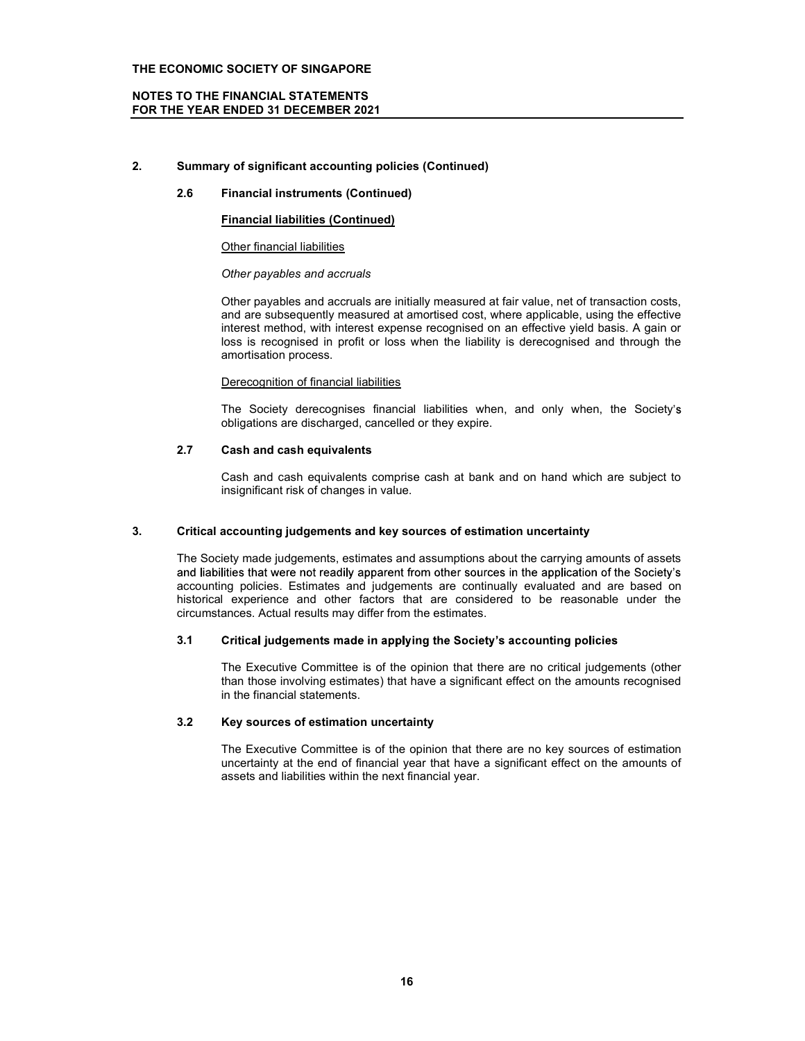### NOTES TO THE FINANCIAL STATEMENTS FOR THE YEAR ENDED 31 DECEMBER 2021

## 2. Summary of significant accounting policies (Continued)

### 2.6 Financial instruments (Continued)

### Financial liabilities (Continued)

### Other financial liabilities

### Other payables and accruals

Other payables and accruals are initially measured at fair value, net of transaction costs, and are subsequently measured at amortised cost, where applicable, using the effective interest method, with interest expense recognised on an effective yield basis. A gain or loss is recognised in profit or loss when the liability is derecognised and through the amortisation process.

### Derecognition of financial liabilities

The Society derecognises financial liabilities when, and only when, the Society obligations are discharged, cancelled or they expire.

### 2.7 Cash and cash equivalents

Cash and cash equivalents comprise cash at bank and on hand which are subject to insignificant risk of changes in value.

### 3. Critical accounting judgements and key sources of estimation uncertainty

The Society made judgements, estimates and assumptions about the carrying amounts of assets and liabilities that were not readily apparent from other sources in the application of the Society's accounting policies. Estimates and judgements are continually evaluated and are based on historical experience and other factors that are considered to be reasonable under the circumstances. Actual results may differ from the estimates.

### 3.1 Critical judgements made in applying the Society's accounting policies

The Executive Committee is of the opinion that there are no critical judgements (other than those involving estimates) that have a significant effect on the amounts recognised in the financial statements.

### 3.2 Key sources of estimation uncertainty

The Executive Committee is of the opinion that there are no key sources of estimation uncertainty at the end of financial year that have a significant effect on the amounts of assets and liabilities within the next financial year.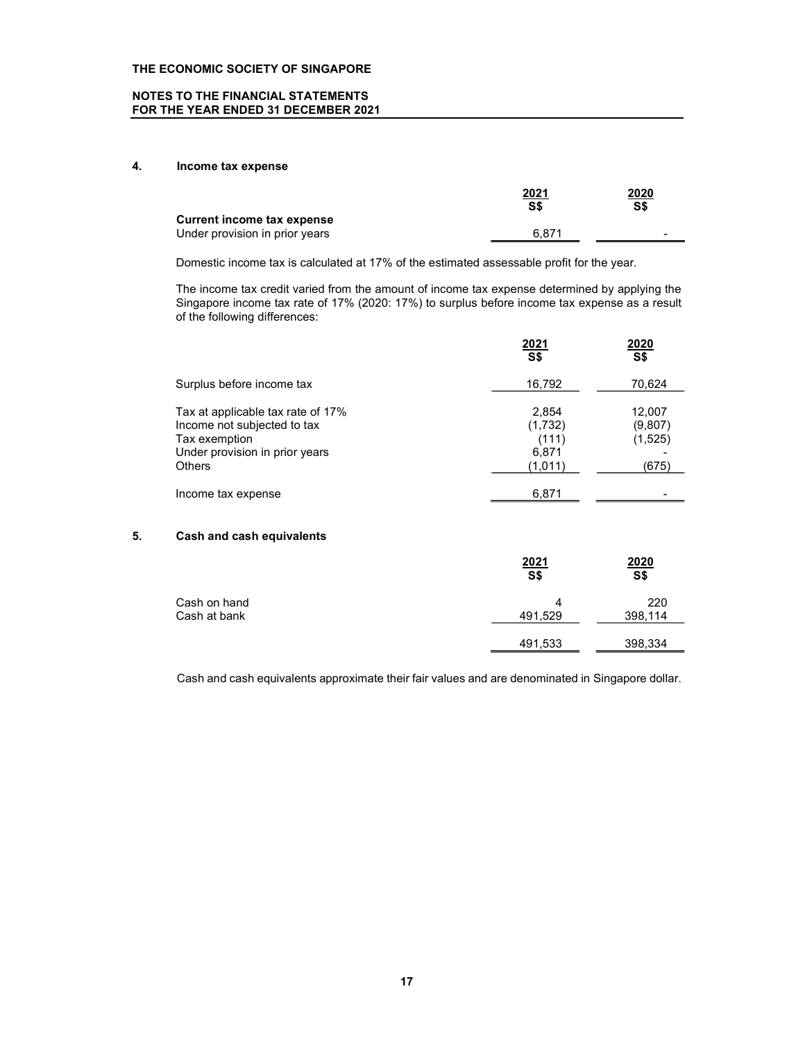### NOTES TO THE FINANCIAL STATEMENTS FOR THE YEAR ENDED 31 DECEMBER 2021

### 4. Income tax expense

|                                                              | <u>2021</u><br>S\$ | 2020<br>S\$              |  |
|--------------------------------------------------------------|--------------------|--------------------------|--|
| Current income tax expense<br>Under provision in prior years | 6.871              | $\overline{\phantom{0}}$ |  |

Domestic income tax is calculated at 17% of the estimated assessable profit for the year.

The income tax credit varied from the amount of income tax expense determined by applying the Singapore income tax rate of 17% (2020: 17%) to surplus before income tax expense as a result of the following differences:

|                                                                                                                     | $\frac{2021}{S$}$                  | 2020<br>S <sub>5</sub>       |  |
|---------------------------------------------------------------------------------------------------------------------|------------------------------------|------------------------------|--|
| Surplus before income tax                                                                                           | 16,792                             | 70,624                       |  |
| Tax at applicable tax rate of 17%<br>Income not subjected to tax<br>Tax exemption<br>Under provision in prior years | 2.854<br>(1,732)<br>(111)<br>6.871 | 12,007<br>(9,807)<br>(1,525) |  |
| <b>Others</b>                                                                                                       | (1,011)                            | (675)                        |  |
| Income tax expense                                                                                                  | 6,871                              |                              |  |

# 5. Cash and cash equivalents

|                              | 2021<br>$\overline{\mathsf{S}}$ | 2020<br>$\overline{\mathsf{S}}$ |  |
|------------------------------|---------------------------------|---------------------------------|--|
| Cash on hand<br>Cash at bank | Δ<br>491,529                    | 220<br>398,114                  |  |
|                              | 491,533                         | 398,334                         |  |

Cash and cash equivalents approximate their fair values and are denominated in Singapore dollar.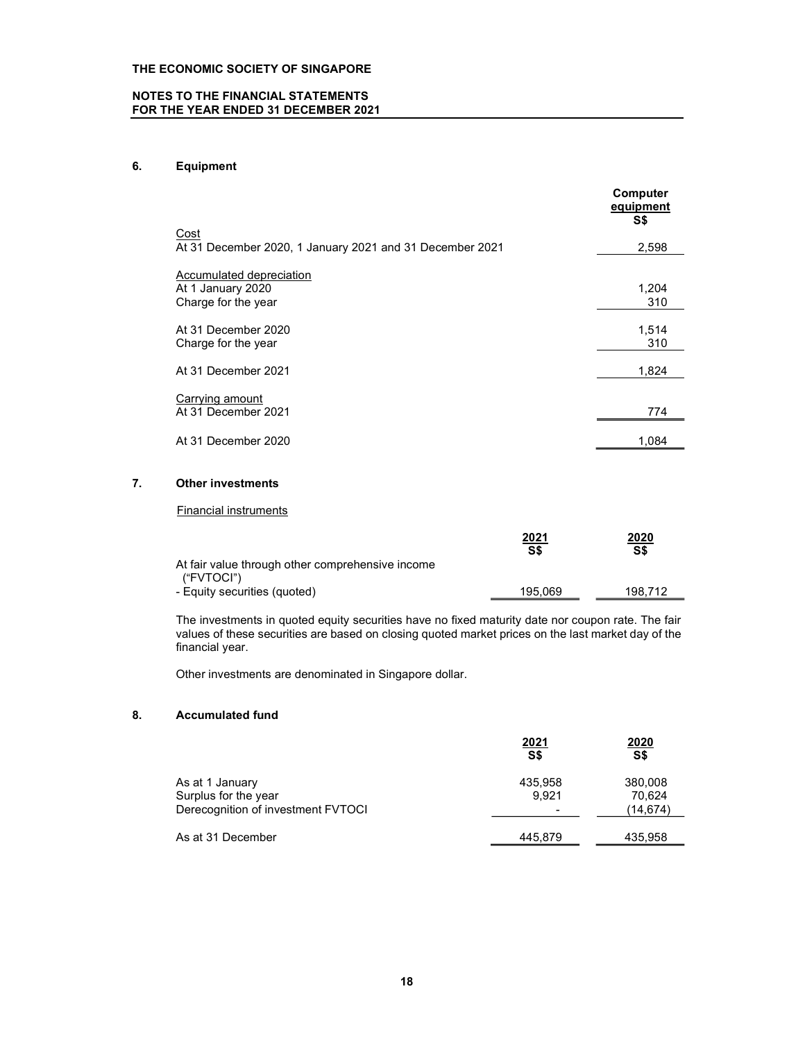### NOTES TO THE FINANCIAL STATEMENTS FOR THE YEAR ENDED 31 DECEMBER 2021

# 6. Equipment

|                                                                             | Computer<br>equipment<br>S\$ |
|-----------------------------------------------------------------------------|------------------------------|
| Cost<br>At 31 December 2020, 1 January 2021 and 31 December 2021            | 2,598                        |
| <b>Accumulated depreciation</b><br>At 1 January 2020<br>Charge for the year | 1,204<br>310                 |
| At 31 December 2020<br>Charge for the year                                  | 1,514<br>310                 |
| At 31 December 2021                                                         | 1,824                        |
| Carrying amount<br>At 31 December 2021                                      | 774                          |
| At 31 December 2020                                                         | 1,084                        |

### 7. Other investments

### Financial instruments

|                                                                | 2021<br>S\$ | 2020<br>S\$ |  |
|----------------------------------------------------------------|-------------|-------------|--|
| At fair value through other comprehensive income<br>("FVTOCI") |             |             |  |
| - Equity securities (quoted)                                   | 195.069     | 198.712     |  |

The investments in quoted equity securities have no fixed maturity date nor coupon rate. The fair values of these securities are based on closing quoted market prices on the last market day of the financial year.

Other investments are denominated in Singapore dollar.

### 8. Accumulated fund

|                                    | 2021<br>S\$              | 2020<br>S\$ |  |
|------------------------------------|--------------------------|-------------|--|
| As at 1 January                    | 435,958                  | 380,008     |  |
| Surplus for the year               | 9,921                    | 70,624      |  |
| Derecognition of investment FVTOCI | $\overline{\phantom{0}}$ | (14,674)    |  |
| As at 31 December                  | 445,879                  | 435,958     |  |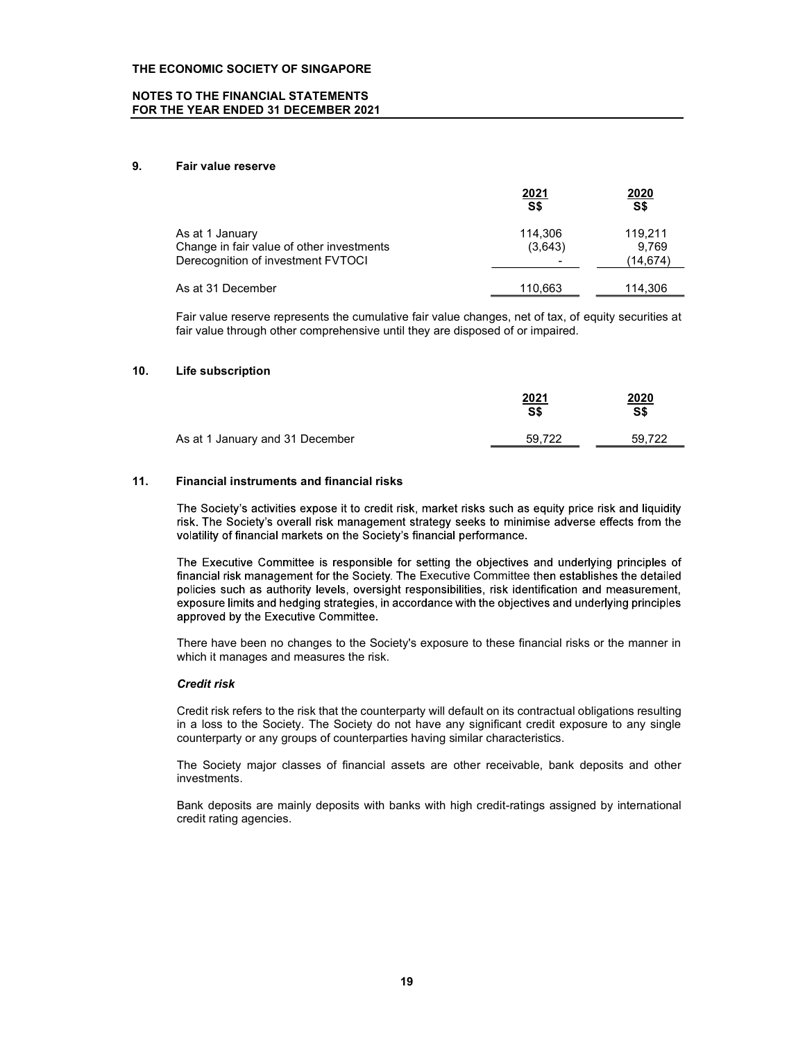### NOTES TO THE FINANCIAL STATEMENTS FOR THE YEAR ENDED 31 DECEMBER 2021

### 9. Fair value reserve

|                                           | 2021                     | 2020     |  |
|-------------------------------------------|--------------------------|----------|--|
|                                           | S\$                      | S\$      |  |
| As at 1 January                           | 114,306                  | 119.211  |  |
| Change in fair value of other investments | (3,643)                  | 9.769    |  |
| Derecognition of investment FVTOCI        | $\overline{\phantom{a}}$ | (14,674) |  |
| As at 31 December                         | 110.663                  | 114,306  |  |

Fair value reserve represents the cumulative fair value changes, net of tax, of equity securities at fair value through other comprehensive until they are disposed of or impaired.

### 10. Life subscription

|                                 | <u>2021</u><br>S\$ | 2020<br>S\$ |  |
|---------------------------------|--------------------|-------------|--|
| As at 1 January and 31 December | 59,722             | 59,722      |  |

### 11. Financial instruments and financial risks

The Society's activities expose it to credit risk, market risks such as equity price risk and liquidity risk. The Society's overall risk management strategy seeks to minimise adverse effects from the volatility of financial markets on the Society's financial performance.

The Executive Committee is responsible for setting the objectives and underlying principles of financial risk management for the Society. The Executive Committee then establishes the detailed policies such as authority levels, oversight responsibilities, risk identification and measurement, exposure limits and hedging strategies, in accordance with the objectives and underlying principles approved by the Executive Committee.

There have been no changes to the Society's exposure to these financial risks or the manner in which it manages and measures the risk.

### Credit risk

Credit risk refers to the risk that the counterparty will default on its contractual obligations resulting in a loss to the Society. The Society do not have any significant credit exposure to any single counterparty or any groups of counterparties having similar characteristics.

The Society major classes of financial assets are other receivable, bank deposits and other investments.

Bank deposits are mainly deposits with banks with high credit-ratings assigned by international credit rating agencies.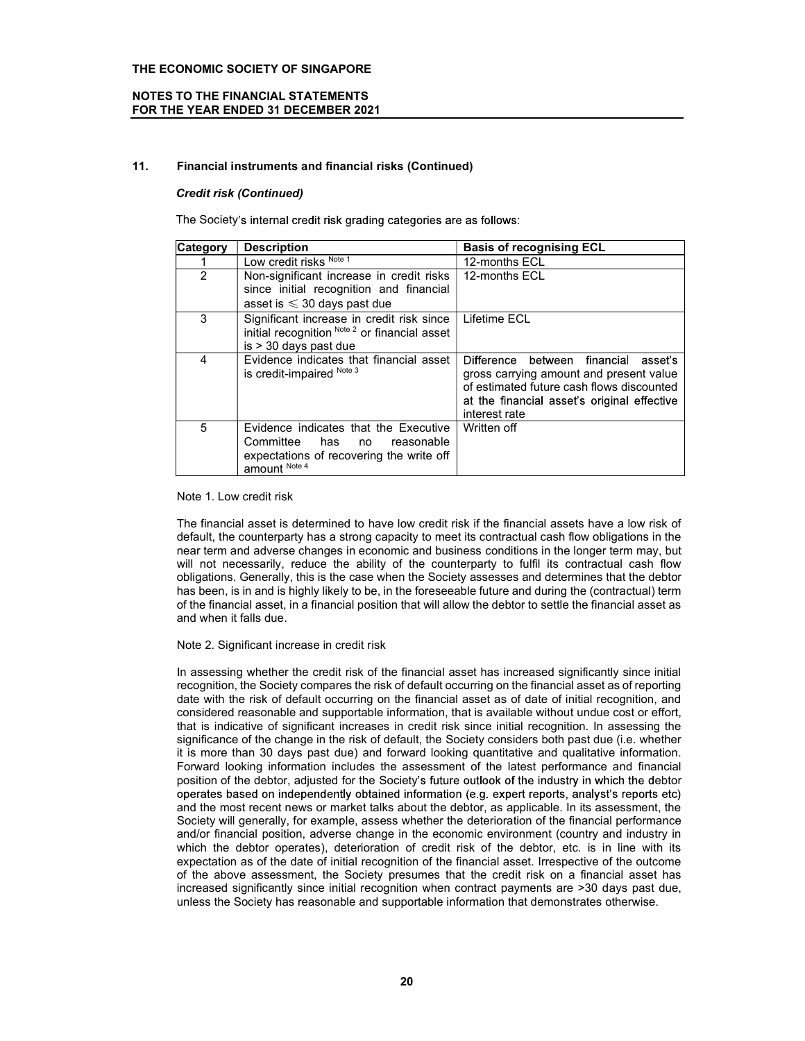### NOTES TO THE FINANCIAL STATEMENTS FOR THE YEAR ENDED 31 DECEMBER 2021

### 11. Financial instruments and financial risks (Continued)

### Credit risk (Continued)

The Society's internal credit risk grading categories are as follows:

| <b>Category</b> | <b>Description</b>                                                                                                                         | <b>Basis of recognising ECL</b>                                                                                                                                                                    |
|-----------------|--------------------------------------------------------------------------------------------------------------------------------------------|----------------------------------------------------------------------------------------------------------------------------------------------------------------------------------------------------|
|                 | Low credit risks Note 1                                                                                                                    | 12-months ECL                                                                                                                                                                                      |
|                 | Non-significant increase in credit risks<br>since initial recognition and financial<br>asset is $\leqslant$ 30 days past due               | 12-months ECL                                                                                                                                                                                      |
| $\mathcal{R}$   | Significant increase in credit risk since<br>initial recognition Note 2 or financial asset<br>$is > 30$ days past due                      | Lifetime ECL                                                                                                                                                                                       |
| 4               | Evidence indicates that financial asset<br>is credit-impaired Note 3                                                                       | Difference between<br>financial<br>asseťs.<br>gross carrying amount and present value<br>of estimated future cash flows discounted<br>at the financial asset's original effective<br>interest rate |
| 5               | Evidence indicates that the Executive<br>Committee<br>has<br>reasonable<br>no<br>expectations of recovering the write off<br>amount Note 4 | Written off                                                                                                                                                                                        |

Note 1. Low credit risk

The financial asset is determined to have low credit risk if the financial assets have a low risk of default, the counterparty has a strong capacity to meet its contractual cash flow obligations in the near term and adverse changes in economic and business conditions in the longer term may, but will not necessarily, reduce the ability of the counterparty to fulfil its contractual cash flow obligations. Generally, this is the case when the Society assesses and determines that the debtor has been, is in and is highly likely to be, in the foreseeable future and during the (contractual) term of the financial asset, in a financial position that will allow the debtor to settle the financial asset as and when it falls due.

### Note 2. Significant increase in credit risk

In assessing whether the credit risk of the financial asset has increased significantly since initial recognition, the Society compares the risk of default occurring on the financial asset as of reporting date with the risk of default occurring on the financial asset as of date of initial recognition, and considered reasonable and supportable information, that is available without undue cost or effort, that is indicative of significant increases in credit risk since initial recognition. In assessing the significance of the change in the risk of default, the Society considers both past due (i.e. whether it is more than 30 days past due) and forward looking quantitative and qualitative information. Forward looking information includes the assessment of the latest performance and financial position of the debtor, adjusted for the Society's future outlook of the industry in which the debtor operates based on independently obtained information (e.g. expert reports, analyst's reports etc) and the most recent news or market talks about the debtor, as applicable. In its assessment, the Society will generally, for example, assess whether the deterioration of the financial performance and/or financial position, adverse change in the economic environment (country and industry in which the debtor operates), deterioration of credit risk of the debtor, etc. is in line with its expectation as of the date of initial recognition of the financial asset. Irrespective of the outcome of the above assessment, the Society presumes that the credit risk on a financial asset has increased significantly since initial recognition when contract payments are >30 days past due, unless the Society has reasonable and supportable information that demonstrates otherwise.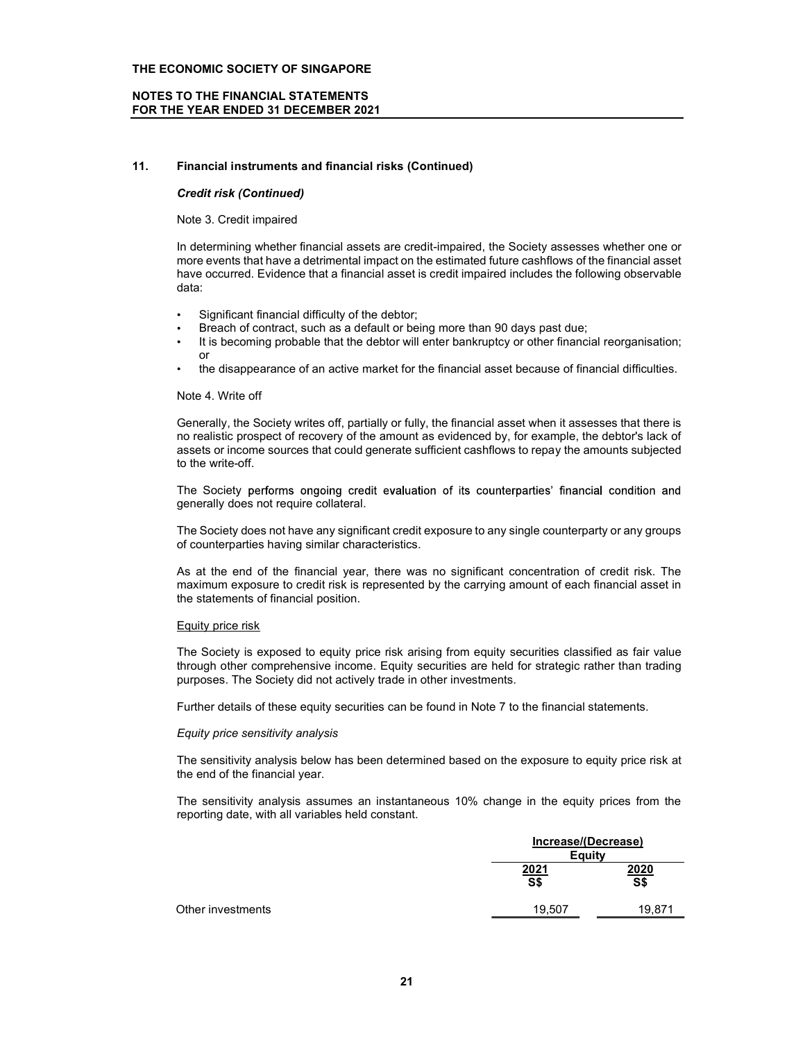### NOTES TO THE FINANCIAL STATEMENTS FOR THE YEAR ENDED 31 DECEMBER 2021

### 11. Financial instruments and financial risks (Continued)

### Credit risk (Continued)

### Note 3. Credit impaired

In determining whether financial assets are credit-impaired, the Society assesses whether one or more events that have a detrimental impact on the estimated future cashflows of the financial asset have occurred. Evidence that a financial asset is credit impaired includes the following observable data:

- Significant financial difficulty of the debtor;
- Breach of contract, such as a default or being more than 90 days past due;
- It is becoming probable that the debtor will enter bankruptcy or other financial reorganisation; or
- the disappearance of an active market for the financial asset because of financial difficulties.

### Note 4. Write off

Generally, the Society writes off, partially or fully, the financial asset when it assesses that there is no realistic prospect of recovery of the amount as evidenced by, for example, the debtor's lack of assets or income sources that could generate sufficient cashflows to repay the amounts subjected to the write-off.

The Society performs ongoing credit evaluation of its counterparties' financial condition and generally does not require collateral.

The Society does not have any significant credit exposure to any single counterparty or any groups of counterparties having similar characteristics.

As at the end of the financial year, there was no significant concentration of credit risk. The maximum exposure to credit risk is represented by the carrying amount of each financial asset in the statements of financial position.

### Equity price risk

The Society is exposed to equity price risk arising from equity securities classified as fair value through other comprehensive income. Equity securities are held for strategic rather than trading purposes. The Society did not actively trade in other investments.

Further details of these equity securities can be found in Note 7 to the financial statements.

### Equity price sensitivity analysis

The sensitivity analysis below has been determined based on the exposure to equity price risk at the end of the financial year.

The sensitivity analysis assumes an instantaneous 10% change in the equity prices from the reporting date, with all variables held constant.

|                   | Increase/(Decrease)<br>Equity |             |  |
|-------------------|-------------------------------|-------------|--|
|                   | 2021<br>S\$                   | 2020<br>S\$ |  |
| Other investments | 19.507                        | 19.871      |  |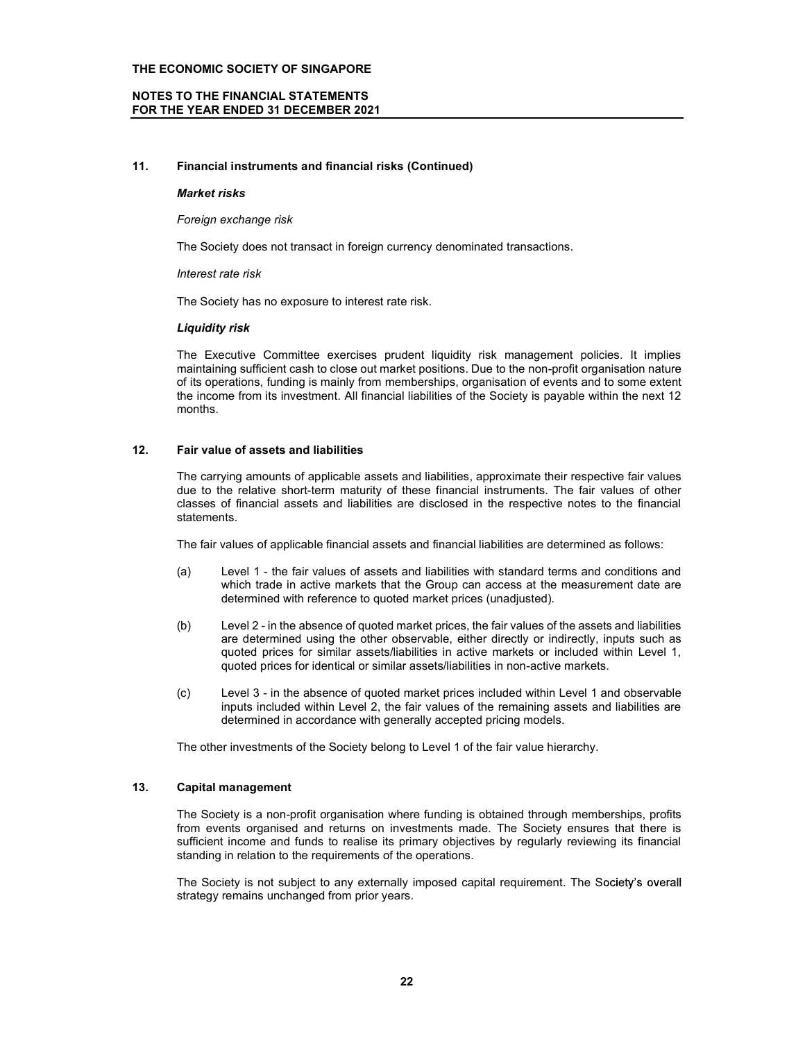### NOTES TO THE FINANCIAL STATEMENTS FOR THE YEAR ENDED 31 DECEMBER 2021

### 11. Financial instruments and financial risks (Continued)

### Market risks

Foreign exchange risk

The Society does not transact in foreign currency denominated transactions.

Interest rate risk

The Society has no exposure to interest rate risk.

### Liquidity risk

The Executive Committee exercises prudent liquidity risk management policies. It implies maintaining sufficient cash to close out market positions. Due to the non-profit organisation nature of its operations, funding is mainly from memberships, organisation of events and to some extent the income from its investment. All financial liabilities of the Society is payable within the next 12 months.

### 12. Fair value of assets and liabilities

The carrying amounts of applicable assets and liabilities, approximate their respective fair values due to the relative short-term maturity of these financial instruments. The fair values of other classes of financial assets and liabilities are disclosed in the respective notes to the financial statements.

The fair values of applicable financial assets and financial liabilities are determined as follows:

- (a) Level 1 the fair values of assets and liabilities with standard terms and conditions and which trade in active markets that the Group can access at the measurement date are determined with reference to quoted market prices (unadjusted).
- (b) Level 2 in the absence of quoted market prices, the fair values of the assets and liabilities are determined using the other observable, either directly or indirectly, inputs such as quoted prices for similar assets/liabilities in active markets or included within Level 1, quoted prices for identical or similar assets/liabilities in non-active markets.
- (c) Level 3 in the absence of quoted market prices included within Level 1 and observable inputs included within Level 2, the fair values of the remaining assets and liabilities are determined in accordance with generally accepted pricing models.

The other investments of the Society belong to Level 1 of the fair value hierarchy.

### 13. Capital management

The Society is a non-profit organisation where funding is obtained through memberships, profits from events organised and returns on investments made. The Society ensures that there is sufficient income and funds to realise its primary objectives by regularly reviewing its financial standing in relation to the requirements of the operations.

The Society is not subject to any externally imposed capital requirement. The Society's overall strategy remains unchanged from prior years.